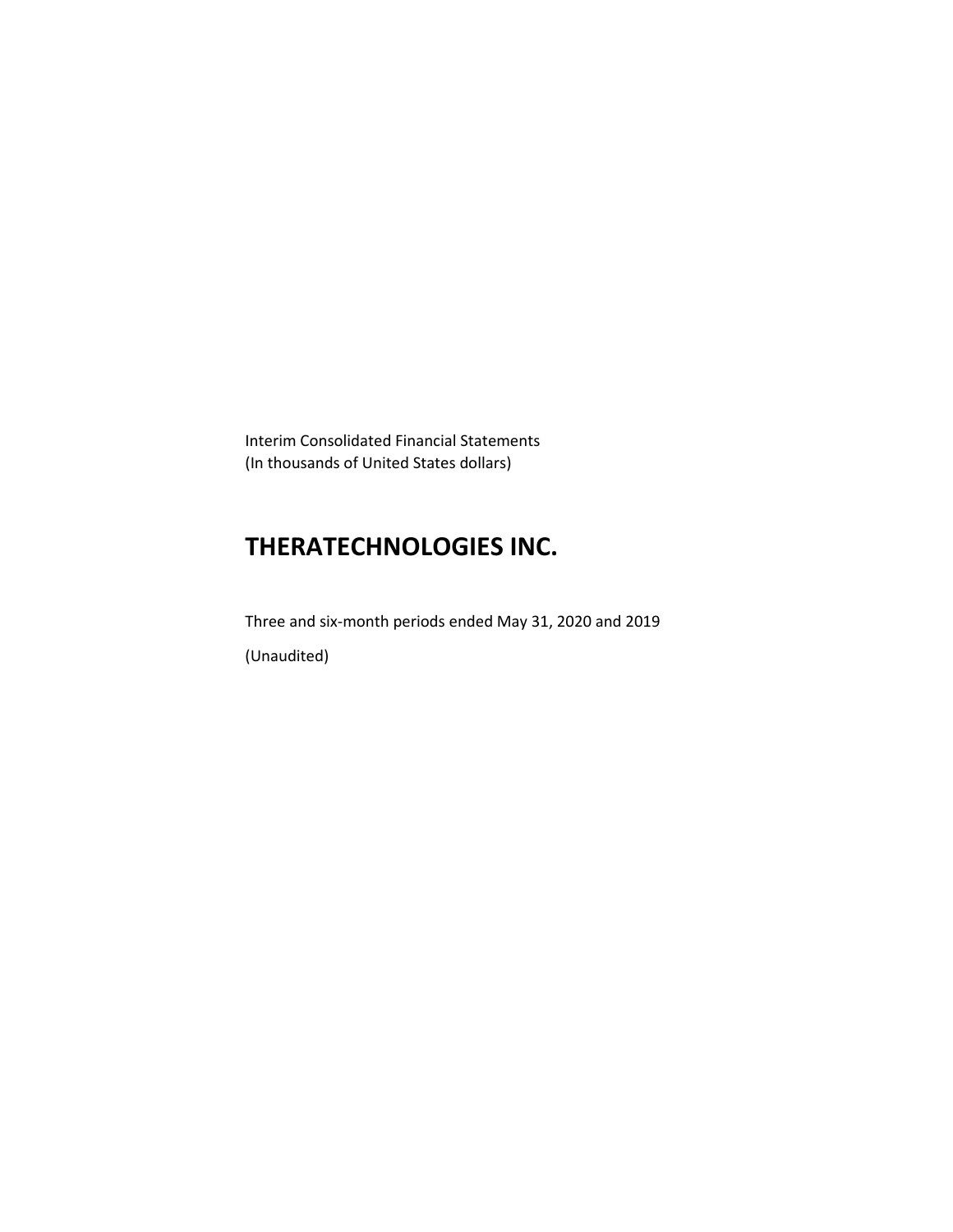Interim Consolidated Financial Statements (In thousands of United States dollars)

# **THERATECHNOLOGIES INC.**

Three and six-month periods ended May 31, 2020 and 2019 (Unaudited)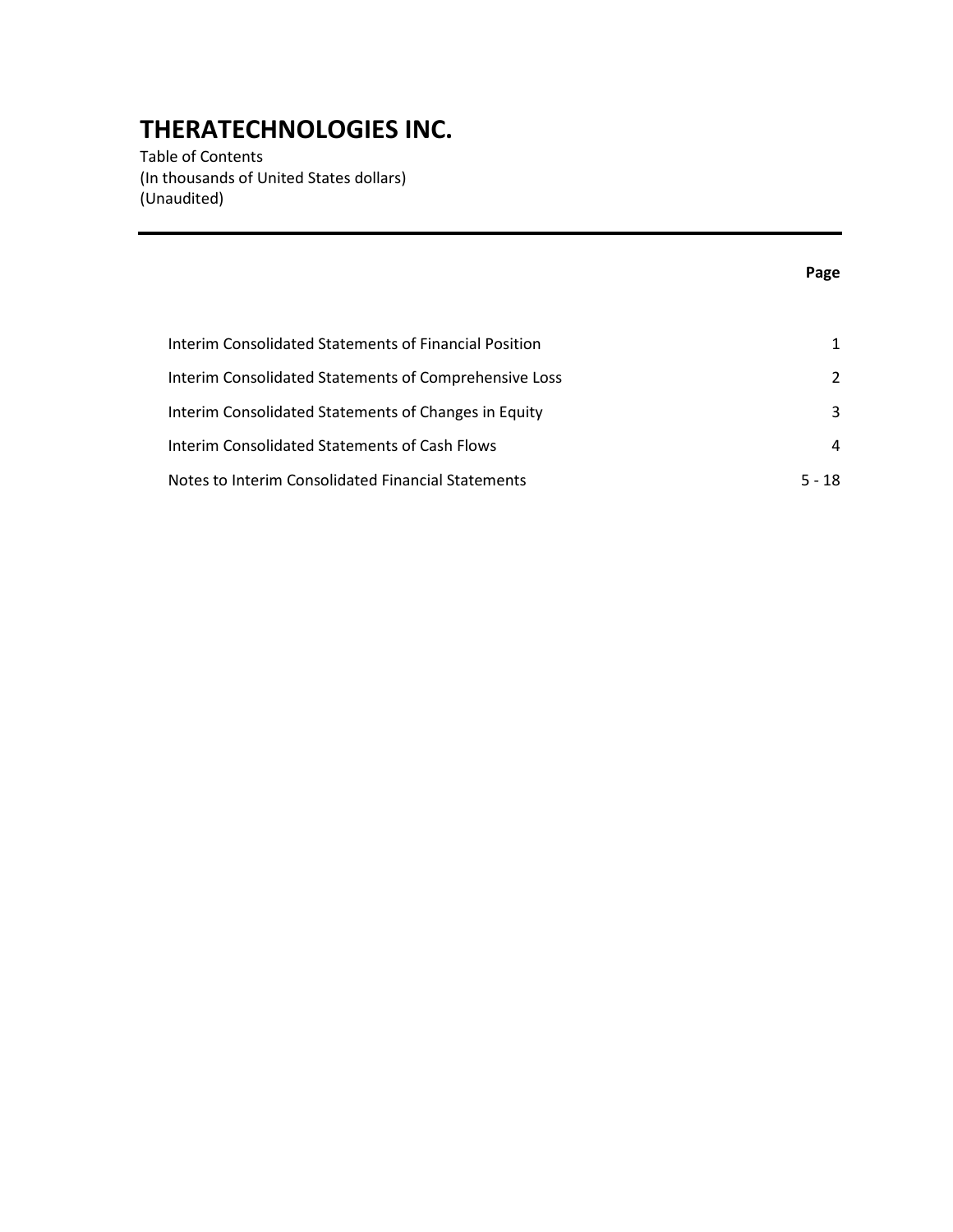Table of Contents (In thousands of United States dollars) (Unaudited)

### **Page**

| Interim Consolidated Statements of Financial Position |          |
|-------------------------------------------------------|----------|
| Interim Consolidated Statements of Comprehensive Loss | 2        |
| Interim Consolidated Statements of Changes in Equity  | 3        |
| Interim Consolidated Statements of Cash Flows         | 4        |
| Notes to Interim Consolidated Financial Statements    | $5 - 18$ |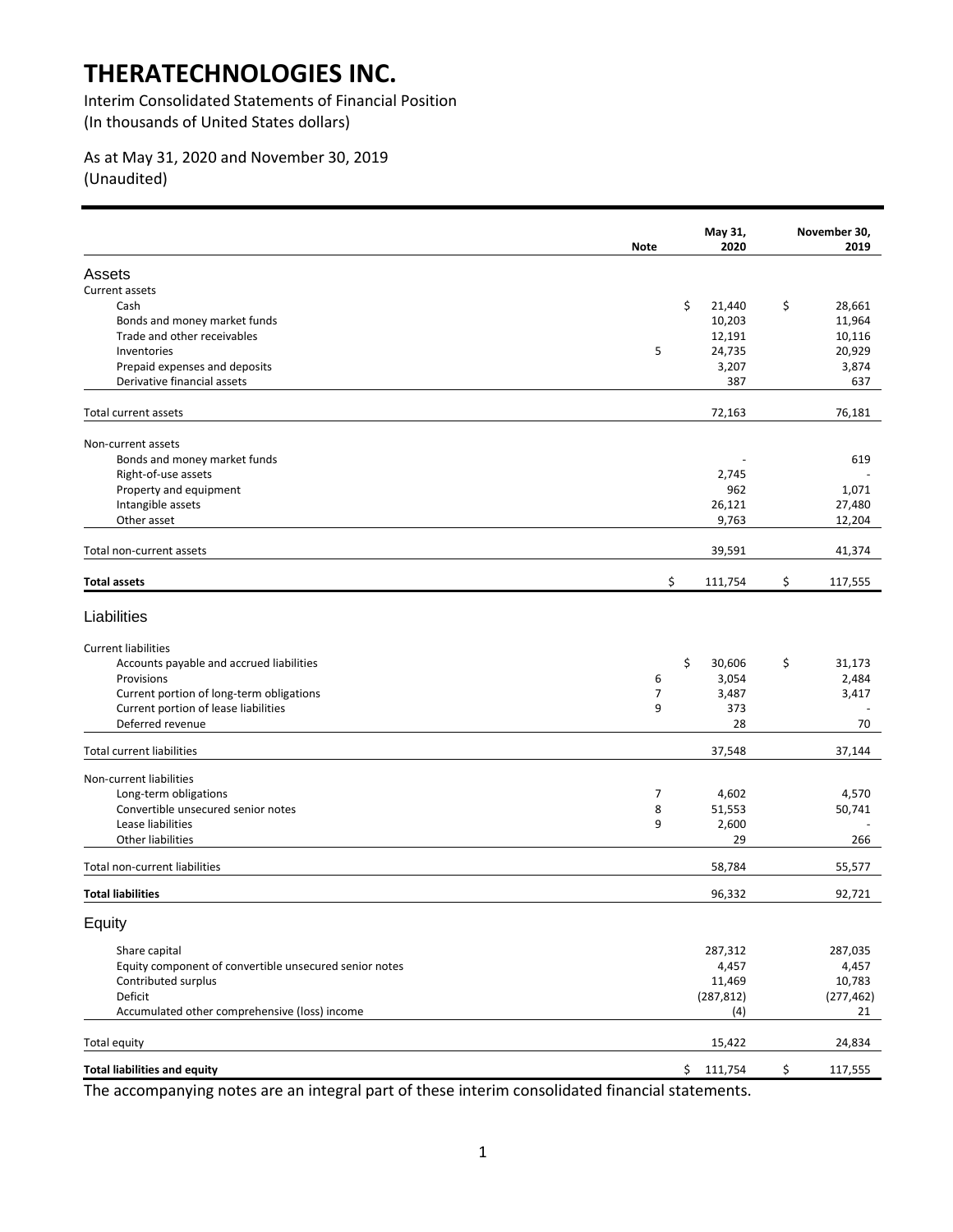Interim Consolidated Statements of Financial Position (In thousands of United States dollars)

### As at May 31, 2020 and November 30, 2019 (Unaudited)

|                                                        | Note | May 31,<br>2020 | November 30,<br>2019 |
|--------------------------------------------------------|------|-----------------|----------------------|
| Assets                                                 |      |                 |                      |
| Current assets                                         |      |                 |                      |
| Cash                                                   | \$   | 21,440          | \$<br>28,661         |
| Bonds and money market funds                           |      | 10,203          | 11,964               |
| Trade and other receivables                            |      | 12,191          | 10,116               |
| Inventories                                            | 5    | 24,735          | 20,929               |
| Prepaid expenses and deposits                          |      | 3,207           | 3,874                |
| Derivative financial assets                            |      | 387             | 637                  |
| Total current assets                                   |      | 72,163          | 76,181               |
| Non-current assets                                     |      |                 |                      |
| Bonds and money market funds                           |      |                 | 619                  |
| Right-of-use assets                                    |      | 2,745           |                      |
| Property and equipment                                 |      | 962             | 1,071                |
| Intangible assets                                      |      | 26,121          | 27,480               |
| Other asset                                            |      | 9,763           | 12,204               |
| Total non-current assets                               |      | 39,591          | 41,374               |
| <b>Total assets</b>                                    | \$   | 111,754         | \$<br>117,555        |
| Liabilities                                            |      |                 |                      |
| <b>Current liabilities</b>                             |      |                 |                      |
| Accounts payable and accrued liabilities               | \$   | 30,606          | \$<br>31,173         |
| Provisions                                             | 6    | 3,054           | 2,484                |
| Current portion of long-term obligations               | 7    | 3,487           | 3,417                |
| Current portion of lease liabilities                   | 9    | 373             |                      |
| Deferred revenue                                       |      | 28              | 70                   |
| <b>Total current liabilities</b>                       |      | 37,548          | 37,144               |
| Non-current liabilities                                |      |                 |                      |
| Long-term obligations                                  | 7    | 4,602           | 4,570                |
| Convertible unsecured senior notes                     | 8    | 51,553          | 50,741               |
| Lease liabilities                                      | 9    | 2,600           |                      |
| Other liabilities                                      |      | 29              | 266                  |
| Total non-current liabilities                          |      | 58,784          | 55,577               |
| <b>Total liabilities</b>                               |      | 96,332          | 92,721               |
| Equity                                                 |      |                 |                      |
| Share capital                                          |      | 287,312         | 287,035              |
| Equity component of convertible unsecured senior notes |      | 4,457           | 4,457                |
| Contributed surplus                                    |      | 11,469          | 10,783               |
| Deficit                                                |      | (287, 812)      | (277, 462)           |
| Accumulated other comprehensive (loss) income          |      | (4)             | 21                   |
| Total equity                                           |      | 15,422          | 24,834               |
| <b>Total liabilities and equity</b>                    | \$   | 111,754         | \$<br>117,555        |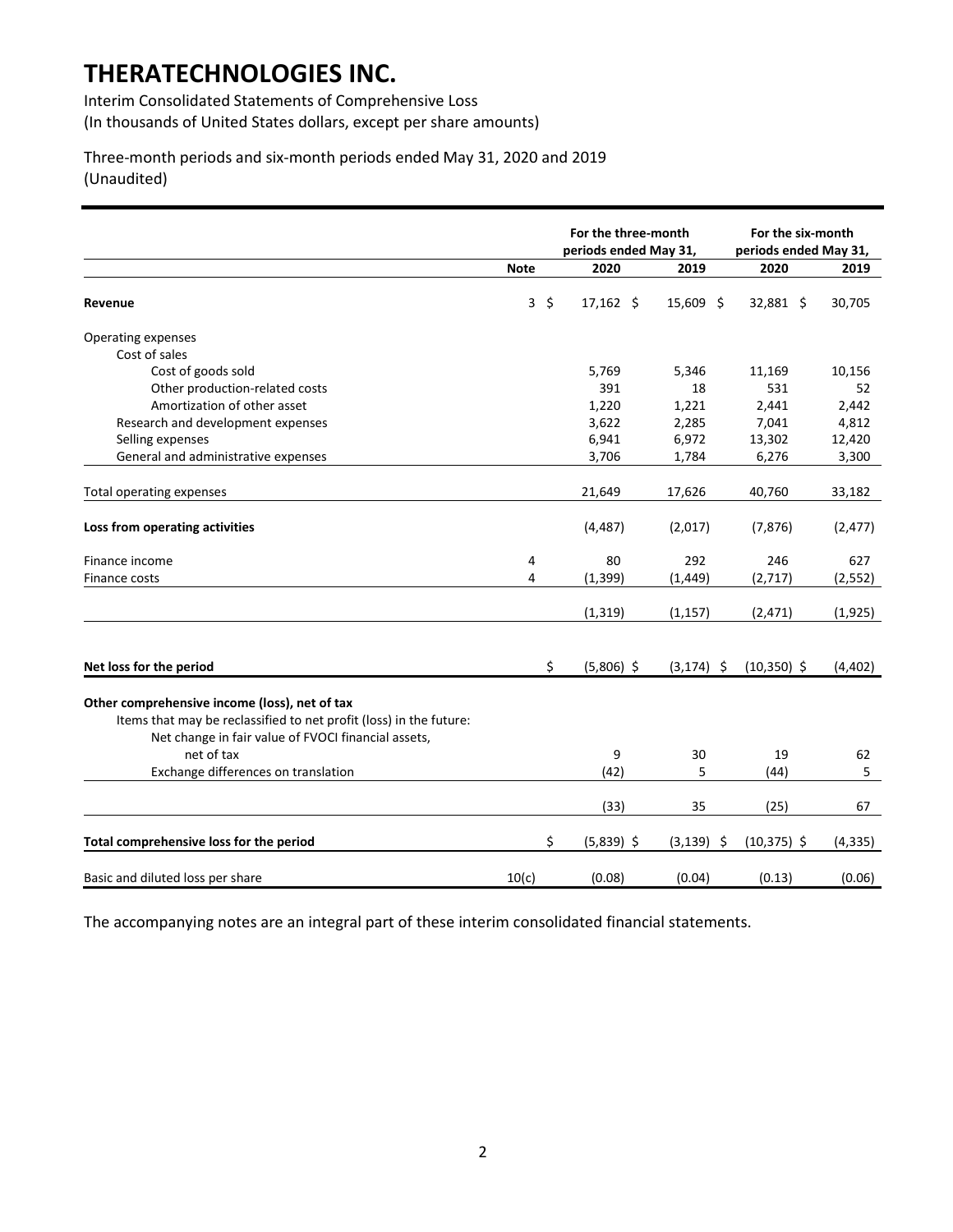Interim Consolidated Statements of Comprehensive Loss (In thousands of United States dollars, except per share amounts)

Three-month periods and six-month periods ended May 31, 2020 and 2019 (Unaudited)

|                                                                    |             | For the three-month   |               | For the six-month     |          |
|--------------------------------------------------------------------|-------------|-----------------------|---------------|-----------------------|----------|
|                                                                    |             | periods ended May 31, |               | periods ended May 31, |          |
|                                                                    | <b>Note</b> | 2020                  | 2019          | 2020                  | 2019     |
| Revenue                                                            | $3\sqrt{5}$ | $17,162 \quad $$      | $15,609$ \$   | 32,881 \$             | 30,705   |
| Operating expenses                                                 |             |                       |               |                       |          |
| Cost of sales                                                      |             |                       |               |                       |          |
| Cost of goods sold                                                 |             | 5,769                 | 5,346         | 11,169                | 10,156   |
| Other production-related costs                                     |             | 391                   | 18            | 531                   | 52       |
| Amortization of other asset                                        |             | 1,220                 | 1,221         | 2,441                 | 2,442    |
| Research and development expenses                                  |             | 3,622                 | 2,285         | 7,041                 | 4,812    |
| Selling expenses                                                   |             | 6,941                 | 6,972         | 13,302                | 12,420   |
| General and administrative expenses                                |             | 3,706                 | 1,784         | 6,276                 | 3,300    |
|                                                                    |             |                       |               |                       |          |
| Total operating expenses                                           |             | 21,649                | 17,626        | 40,760                | 33,182   |
| Loss from operating activities                                     |             | (4, 487)              | (2,017)       | (7, 876)              | (2, 477) |
| Finance income                                                     | 4           | 80                    | 292           | 246                   | 627      |
| Finance costs                                                      | 4           | (1, 399)              | (1, 449)      | (2,717)               | (2, 552) |
|                                                                    |             | (1, 319)              | (1, 157)      | (2, 471)              | (1, 925) |
|                                                                    |             |                       |               |                       |          |
| Net loss for the period                                            | Ś.          | $(5,806)$ \$          | $(3, 174)$ \$ | $(10,350)$ \$         | (4, 402) |
| Other comprehensive income (loss), net of tax                      |             |                       |               |                       |          |
| Items that may be reclassified to net profit (loss) in the future: |             |                       |               |                       |          |
| Net change in fair value of FVOCI financial assets,                |             |                       |               |                       |          |
| net of tax                                                         |             | 9                     | 30            | 19                    | 62       |
| Exchange differences on translation                                |             | (42)                  | 5             | (44)                  | 5        |
|                                                                    |             | (33)                  | 35            | (25)                  | 67       |
| Total comprehensive loss for the period                            | \$          | $(5,839)$ \$          | $(3, 139)$ \$ | $(10, 375)$ \$        | (4, 335) |
|                                                                    |             |                       |               |                       |          |
| Basic and diluted loss per share                                   | 10(c)       | (0.08)                | (0.04)        | (0.13)                | (0.06)   |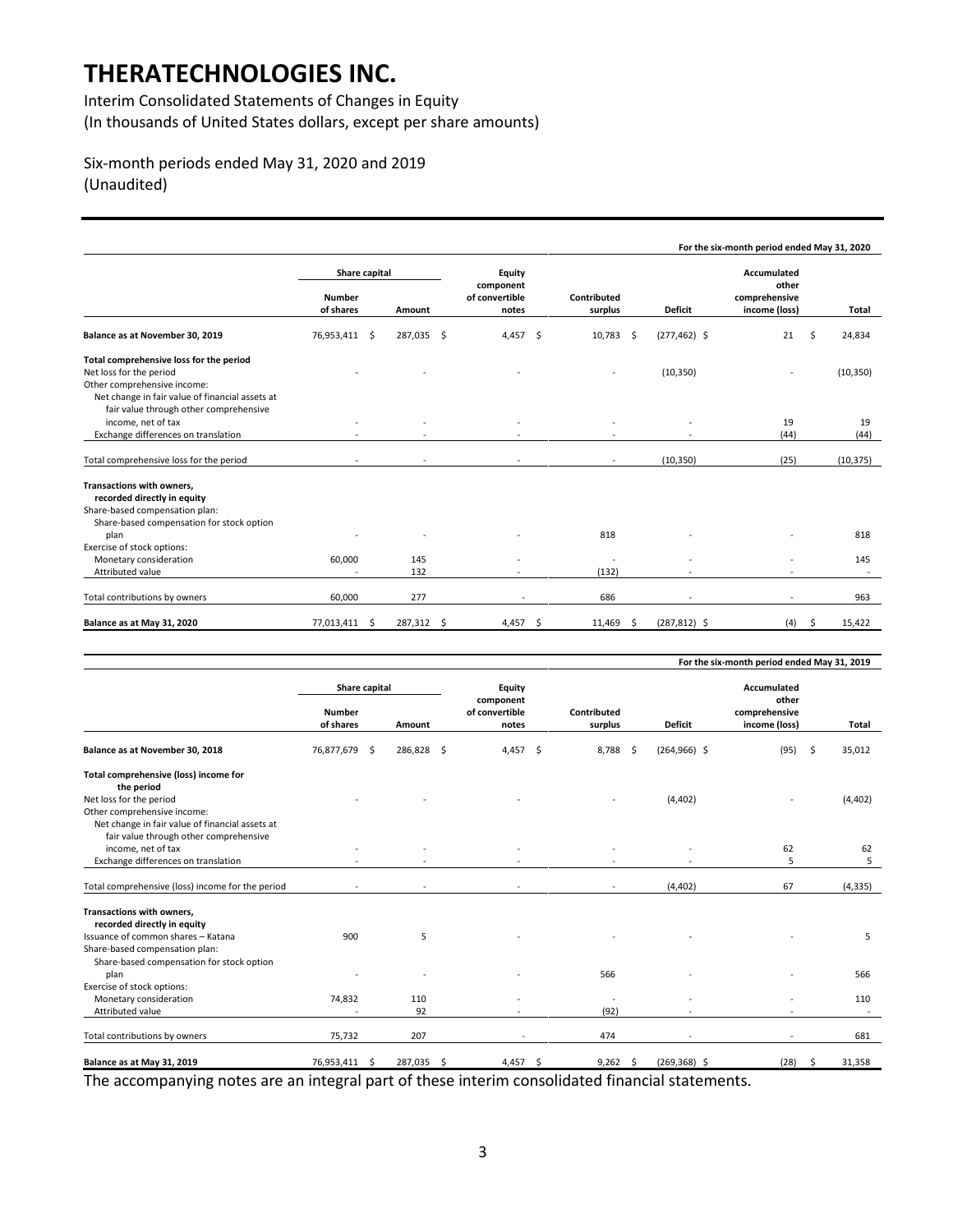Interim Consolidated Statements of Changes in Equity (In thousands of United States dollars, except per share amounts)

### Six-month periods ended May 31, 2020 and 2019 (Unaudited)

|                                                                                                                                                                                                |                                      |            |            |                                                |                        |      |                 | For the six-month period ended May 31, 2020            |               |
|------------------------------------------------------------------------------------------------------------------------------------------------------------------------------------------------|--------------------------------------|------------|------------|------------------------------------------------|------------------------|------|-----------------|--------------------------------------------------------|---------------|
|                                                                                                                                                                                                | Share capital<br>Number<br>of shares | Amount     |            | Equity<br>component<br>of convertible<br>notes | Contributed<br>surplus |      | <b>Deficit</b>  | Accumulated<br>other<br>comprehensive<br>income (loss) | Total         |
| Balance as at November 30, 2019                                                                                                                                                                | 76,953,411                           | Ŝ.         | 287,035 \$ | $4,457$ \$                                     | 10,783                 | - \$ | $(277, 462)$ \$ | 21                                                     | 24,834<br>Ŝ   |
| Total comprehensive loss for the period<br>Net loss for the period<br>Other comprehensive income:<br>Net change in fair value of financial assets at<br>fair value through other comprehensive |                                      |            |            |                                                |                        |      | (10, 350)       |                                                        | (10, 350)     |
| income, net of tax<br>Exchange differences on translation                                                                                                                                      |                                      |            |            |                                                |                        |      |                 | 19<br>(44)                                             | 19<br>(44)    |
| Total comprehensive loss for the period                                                                                                                                                        |                                      |            |            |                                                | $\sim$                 |      | (10, 350)       | (25)                                                   | (10, 375)     |
| Transactions with owners,<br>recorded directly in equity<br>Share-based compensation plan:<br>Share-based compensation for stock option                                                        |                                      |            |            |                                                |                        |      |                 |                                                        |               |
| plan                                                                                                                                                                                           |                                      |            |            |                                                | 818                    |      |                 |                                                        | 818           |
| Exercise of stock options:<br>Monetary consideration<br>Attributed value                                                                                                                       | 60,000                               | 145<br>132 |            |                                                | (132)                  |      |                 |                                                        | 145           |
| Total contributions by owners                                                                                                                                                                  | 60,000                               | 277        |            |                                                | 686                    |      | ٠               | $\sim$                                                 | 963           |
| Balance as at May 31, 2020                                                                                                                                                                     | 77,013,411 \$                        |            | 287,312 \$ | $4,457$ \$                                     | $11,469$ \$            |      | $(287, 812)$ \$ | (4)                                                    | 15,422<br>-\$ |

|                                                  |                            |     |            |                                      |      |                          |                 | For the six-month period ended May 31, 2019 |              |
|--------------------------------------------------|----------------------------|-----|------------|--------------------------------------|------|--------------------------|-----------------|---------------------------------------------|--------------|
|                                                  | Share capital              |     |            | <b>Equity</b>                        |      |                          |                 | <b>Accumulated</b><br>other                 |              |
|                                                  | <b>Number</b><br>of shares |     | Amount     | component<br>of convertible<br>notes |      | Contributed<br>surplus   | <b>Deficit</b>  | comprehensive<br>income (loss)              | Total        |
| Balance as at November 30, 2018                  | 76,877,679                 | -\$ | 286,828 \$ | 4,457 \$                             |      | 8,788<br>- \$            | $(264, 966)$ \$ | (95)                                        | \$<br>35,012 |
| Total comprehensive (loss) income for            |                            |     |            |                                      |      |                          |                 |                                             |              |
| the period                                       |                            |     |            |                                      |      |                          |                 |                                             |              |
| Net loss for the period                          |                            |     |            |                                      |      |                          | (4, 402)        |                                             | (4, 402)     |
| Other comprehensive income:                      |                            |     |            |                                      |      |                          |                 |                                             |              |
| Net change in fair value of financial assets at  |                            |     |            |                                      |      |                          |                 |                                             |              |
| fair value through other comprehensive           |                            |     |            |                                      |      |                          |                 |                                             |              |
| income, net of tax                               |                            |     |            |                                      |      |                          |                 | 62                                          | 62           |
| Exchange differences on translation              |                            |     |            |                                      |      |                          |                 | 5                                           | 5            |
| Total comprehensive (loss) income for the period |                            |     |            |                                      |      |                          | (4, 402)        | 67                                          | (4, 335)     |
| Transactions with owners,                        |                            |     |            |                                      |      |                          |                 |                                             |              |
| recorded directly in equity                      |                            |     |            |                                      |      |                          |                 |                                             |              |
| Issuance of common shares - Katana               | 900                        |     | 5          |                                      |      |                          |                 |                                             | 5            |
| Share-based compensation plan:                   |                            |     |            |                                      |      |                          |                 |                                             |              |
| Share-based compensation for stock option        |                            |     |            |                                      |      |                          |                 |                                             |              |
| plan                                             |                            |     |            |                                      |      | 566                      |                 |                                             | 566          |
| Exercise of stock options:                       |                            |     |            |                                      |      |                          |                 |                                             |              |
| Monetary consideration                           | 74,832                     |     | 110        |                                      |      | $\overline{\phantom{a}}$ |                 |                                             | 110          |
| Attributed value                                 | ٠                          |     | 92         |                                      |      | (92)                     |                 |                                             | $\sim$       |
| Total contributions by owners                    | 75,732                     |     | 207        |                                      |      | 474                      |                 |                                             | 681          |
| Balance as at May 31, 2019                       | 76,953,411                 | -\$ | 287,035 \$ | 4,457                                | - \$ | $9,262$ \$               | $(269, 368)$ \$ | (28)                                        | \$<br>31,358 |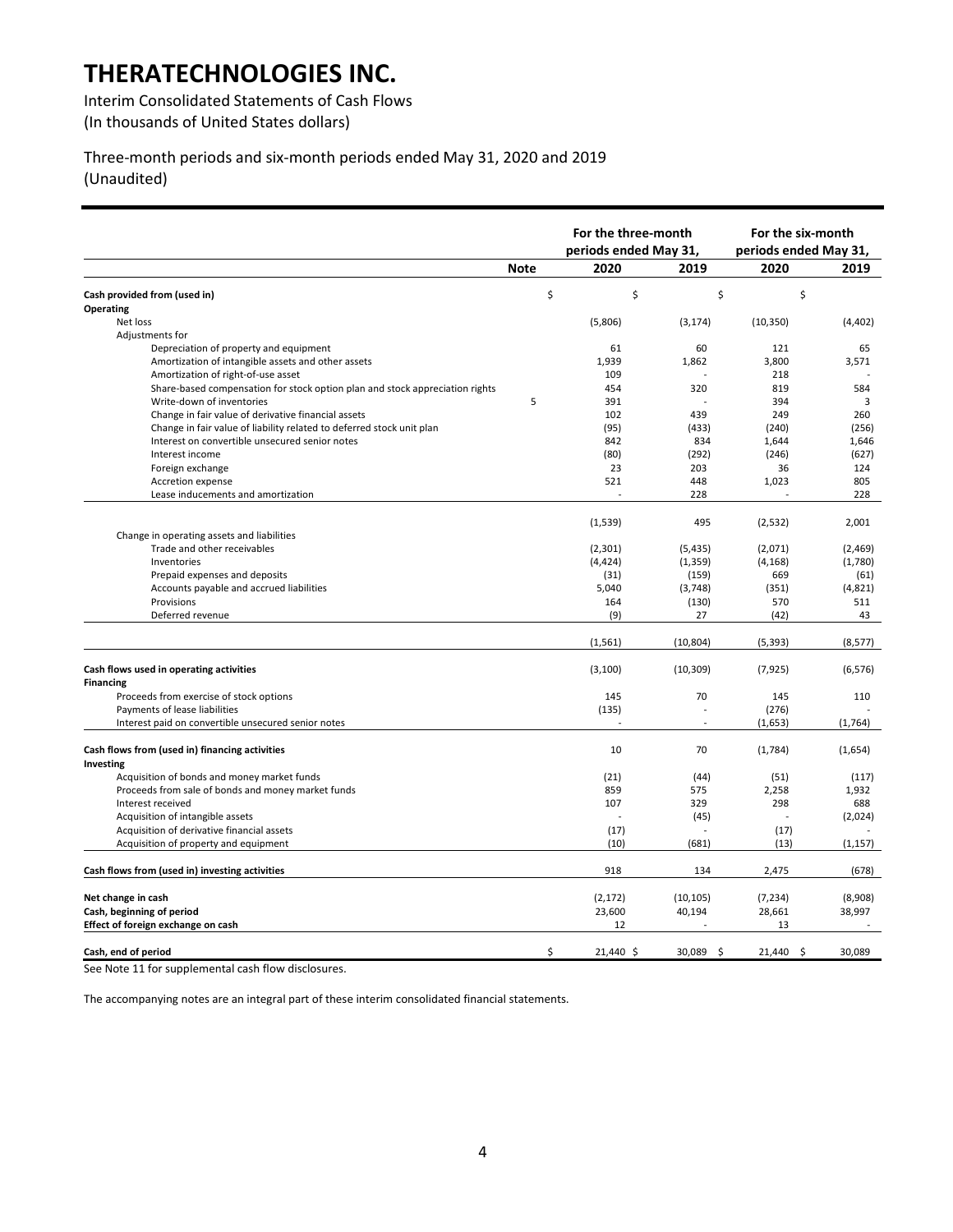Interim Consolidated Statements of Cash Flows (In thousands of United States dollars)

Three-month periods and six-month periods ended May 31, 2020 and 2019 (Unaudited)

|                                                                              |             | For the three-month   |                          | For the six-month     |          |
|------------------------------------------------------------------------------|-------------|-----------------------|--------------------------|-----------------------|----------|
|                                                                              |             | periods ended May 31, |                          | periods ended May 31, |          |
|                                                                              | <b>Note</b> | 2020                  | 2019                     | 2020                  | 2019     |
| Cash provided from (used in)                                                 | \$          | \$                    | \$                       | \$                    |          |
| Operating                                                                    |             |                       |                          |                       |          |
| Net loss                                                                     |             | (5,806)               | (3, 174)                 | (10, 350)             | (4,402)  |
| Adjustments for                                                              |             |                       |                          |                       |          |
| Depreciation of property and equipment                                       |             | 61                    | 60                       | 121                   | 65       |
| Amortization of intangible assets and other assets                           |             | 1,939                 | 1,862                    | 3,800                 | 3,571    |
| Amortization of right-of-use asset                                           |             | 109                   |                          | 218                   |          |
| Share-based compensation for stock option plan and stock appreciation rights |             | 454                   | 320                      | 819                   | 584      |
| Write-down of inventories                                                    | 5           | 391                   |                          | 394                   | 3        |
| Change in fair value of derivative financial assets                          |             | 102                   | 439                      | 249                   | 260      |
| Change in fair value of liability related to deferred stock unit plan        |             | (95)                  | (433)                    | (240)                 | (256)    |
| Interest on convertible unsecured senior notes                               |             | 842                   | 834                      | 1,644                 | 1,646    |
| Interest income                                                              |             | (80)                  | (292)                    | (246)                 | (627)    |
| Foreign exchange                                                             |             | 23                    | 203                      | 36                    | 124      |
| Accretion expense                                                            |             | 521                   | 448                      | 1,023                 | 805      |
| Lease inducements and amortization                                           |             |                       | 228                      |                       | 228      |
|                                                                              |             |                       |                          |                       |          |
|                                                                              |             | (1,539)               | 495                      | (2,532)               | 2,001    |
| Change in operating assets and liabilities                                   |             |                       |                          |                       |          |
| Trade and other receivables                                                  |             | (2, 301)              | (5, 435)                 | (2,071)               | (2,469)  |
| Inventories                                                                  |             | (4, 424)              | (1, 359)                 | (4, 168)              | (1,780)  |
| Prepaid expenses and deposits                                                |             | (31)                  | (159)                    | 669                   | (61)     |
| Accounts payable and accrued liabilities                                     |             | 5,040                 | (3,748)                  | (351)                 | (4,821)  |
| Provisions                                                                   |             | 164                   | (130)                    | 570                   | 511      |
| Deferred revenue                                                             |             | (9)                   | 27                       | (42)                  | 43       |
|                                                                              |             | (1, 561)              | (10, 804)                | (5, 393)              | (8, 577) |
|                                                                              |             |                       |                          |                       |          |
| Cash flows used in operating activities                                      |             | (3, 100)              | (10, 309)                | (7, 925)              | (6, 576) |
| <b>Financing</b>                                                             |             |                       |                          |                       |          |
| Proceeds from exercise of stock options                                      |             | 145                   | 70                       | 145                   | 110      |
| Payments of lease liabilities                                                |             | (135)                 |                          | (276)                 |          |
| Interest paid on convertible unsecured senior notes                          |             |                       |                          | (1,653)               | (1,764)  |
|                                                                              |             |                       |                          |                       |          |
| Cash flows from (used in) financing activities                               |             | 10                    | 70                       | (1,784)               | (1,654)  |
| Investing                                                                    |             |                       |                          |                       |          |
| Acquisition of bonds and money market funds                                  |             | (21)                  | (44)                     | (51)                  | (117)    |
| Proceeds from sale of bonds and money market funds                           |             | 859                   | 575                      | 2,258                 | 1,932    |
| Interest received                                                            |             | 107                   | 329                      | 298                   | 688      |
| Acquisition of intangible assets                                             |             |                       | (45)                     |                       | (2,024)  |
| Acquisition of derivative financial assets                                   |             | (17)                  |                          | (17)                  |          |
| Acquisition of property and equipment                                        |             | (10)                  | (681)                    | (13)                  | (1, 157) |
| Cash flows from (used in) investing activities                               |             | 918                   | 134                      | 2,475                 | (678)    |
|                                                                              |             |                       |                          |                       |          |
| Net change in cash                                                           |             | (2, 172)              | (10, 105)                | (7, 234)              | (8,908)  |
| Cash, beginning of period                                                    |             | 23,600                | 40,194<br>$\overline{a}$ | 28,661                | 38,997   |
| Effect of foreign exchange on cash                                           |             | 12                    |                          | 13                    |          |
| Cash, end of period                                                          | \$          | 21,440 \$             | 30,089<br>- \$           | \$<br>21.440          | 30.089   |

See Note 11 for supplemental cash flow disclosures.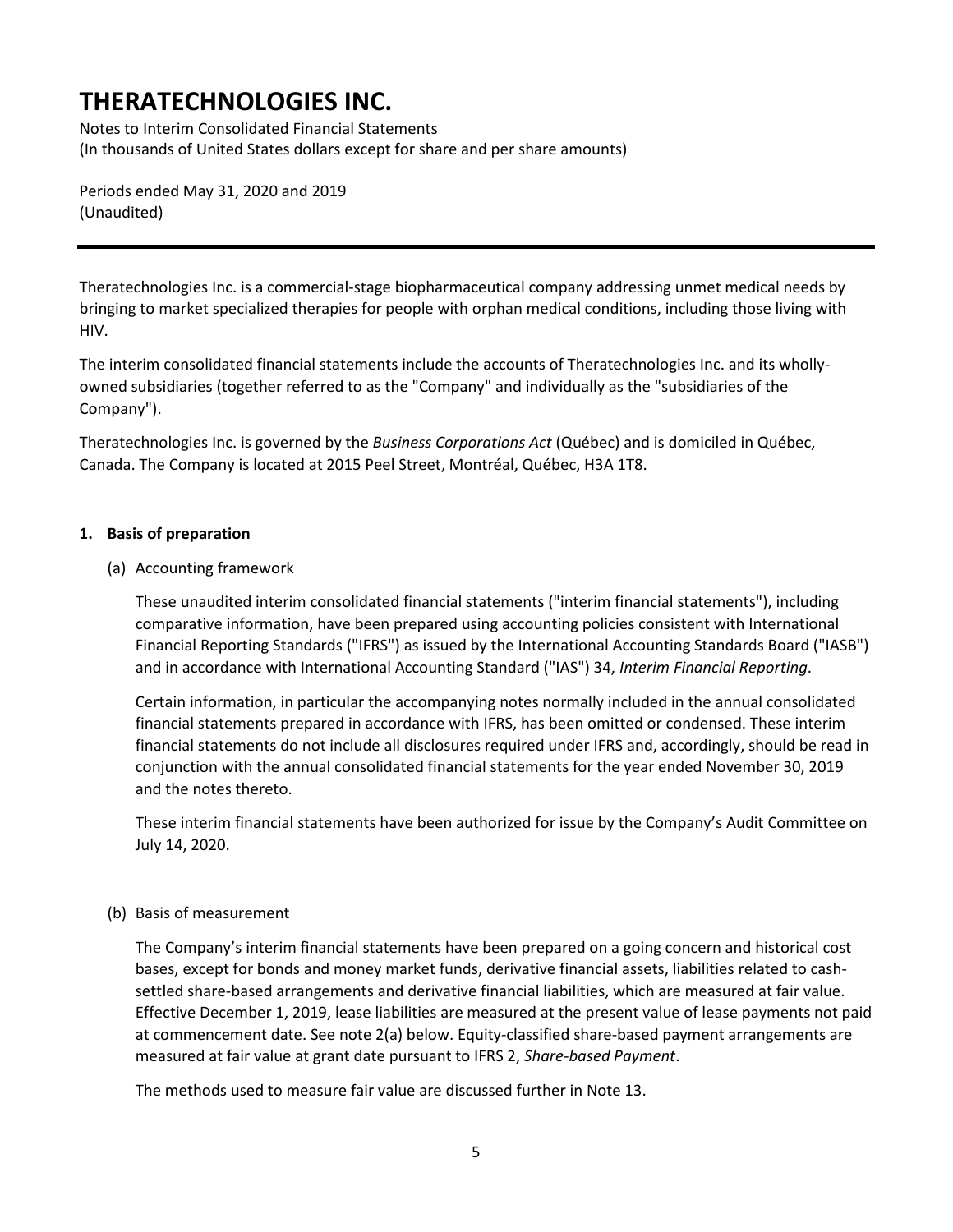Notes to Interim Consolidated Financial Statements (In thousands of United States dollars except for share and per share amounts)

Periods ended May 31, 2020 and 2019 (Unaudited)

Theratechnologies Inc. is a commercial-stage biopharmaceutical company addressing unmet medical needs by bringing to market specialized therapies for people with orphan medical conditions, including those living with HIV.

The interim consolidated financial statements include the accounts of Theratechnologies Inc. and its whollyowned subsidiaries (together referred to as the "Company" and individually as the "subsidiaries of the Company").

Theratechnologies Inc. is governed by the *Business Corporations Act* (Québec) and is domiciled in Québec, Canada. The Company is located at 2015 Peel Street, Montréal, Québec, H3A 1T8.

### **1. Basis of preparation**

(a) Accounting framework

These unaudited interim consolidated financial statements ("interim financial statements"), including comparative information, have been prepared using accounting policies consistent with International Financial Reporting Standards ("IFRS") as issued by the International Accounting Standards Board ("IASB") and in accordance with International Accounting Standard ("IAS") 34, *Interim Financial Reporting*.

Certain information, in particular the accompanying notes normally included in the annual consolidated financial statements prepared in accordance with IFRS, has been omitted or condensed. These interim financial statements do not include all disclosures required under IFRS and, accordingly, should be read in conjunction with the annual consolidated financial statements for the year ended November 30, 2019 and the notes thereto.

These interim financial statements have been authorized for issue by the Company's Audit Committee on July 14, 2020.

### (b) Basis of measurement

The Company's interim financial statements have been prepared on a going concern and historical cost bases, except for bonds and money market funds, derivative financial assets, liabilities related to cashsettled share-based arrangements and derivative financial liabilities, which are measured at fair value. Effective December 1, 2019, lease liabilities are measured at the present value of lease payments not paid at commencement date. See note 2(a) below. Equity-classified share-based payment arrangements are measured at fair value at grant date pursuant to IFRS 2, *Share-based Payment*.

The methods used to measure fair value are discussed further in Note 13.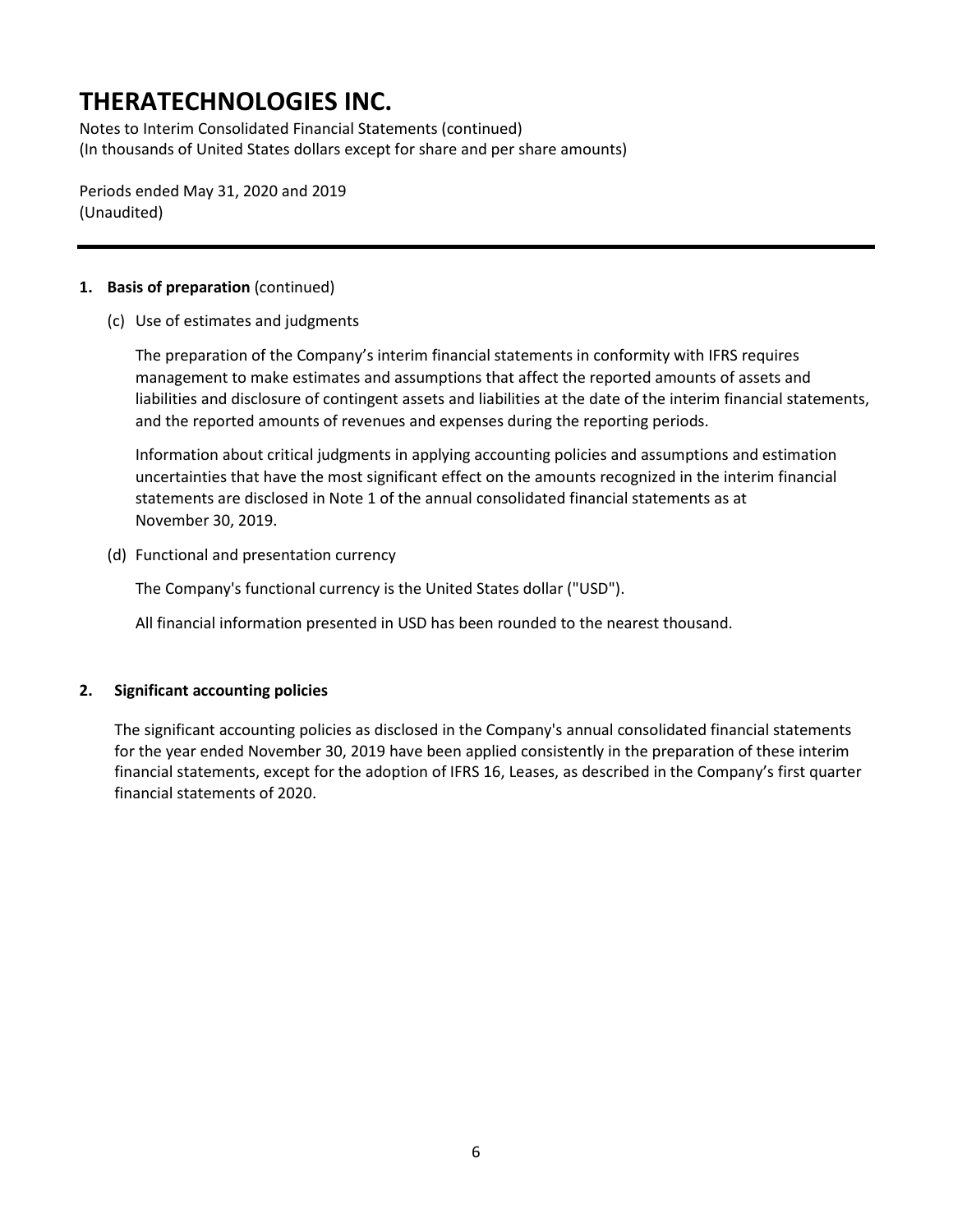Notes to Interim Consolidated Financial Statements (continued) (In thousands of United States dollars except for share and per share amounts)

Periods ended May 31, 2020 and 2019 (Unaudited)

### **1. Basis of preparation** (continued)

(c) Use of estimates and judgments

The preparation of the Company's interim financial statements in conformity with IFRS requires management to make estimates and assumptions that affect the reported amounts of assets and liabilities and disclosure of contingent assets and liabilities at the date of the interim financial statements, and the reported amounts of revenues and expenses during the reporting periods.

Information about critical judgments in applying accounting policies and assumptions and estimation uncertainties that have the most significant effect on the amounts recognized in the interim financial statements are disclosed in Note 1 of the annual consolidated financial statements as at November 30, 2019.

(d) Functional and presentation currency

The Company's functional currency is the United States dollar ("USD").

All financial information presented in USD has been rounded to the nearest thousand.

### **2. Significant accounting policies**

The significant accounting policies as disclosed in the Company's annual consolidated financial statements for the year ended November 30, 2019 have been applied consistently in the preparation of these interim financial statements, except for the adoption of IFRS 16, Leases, as described in the Company's first quarter financial statements of 2020.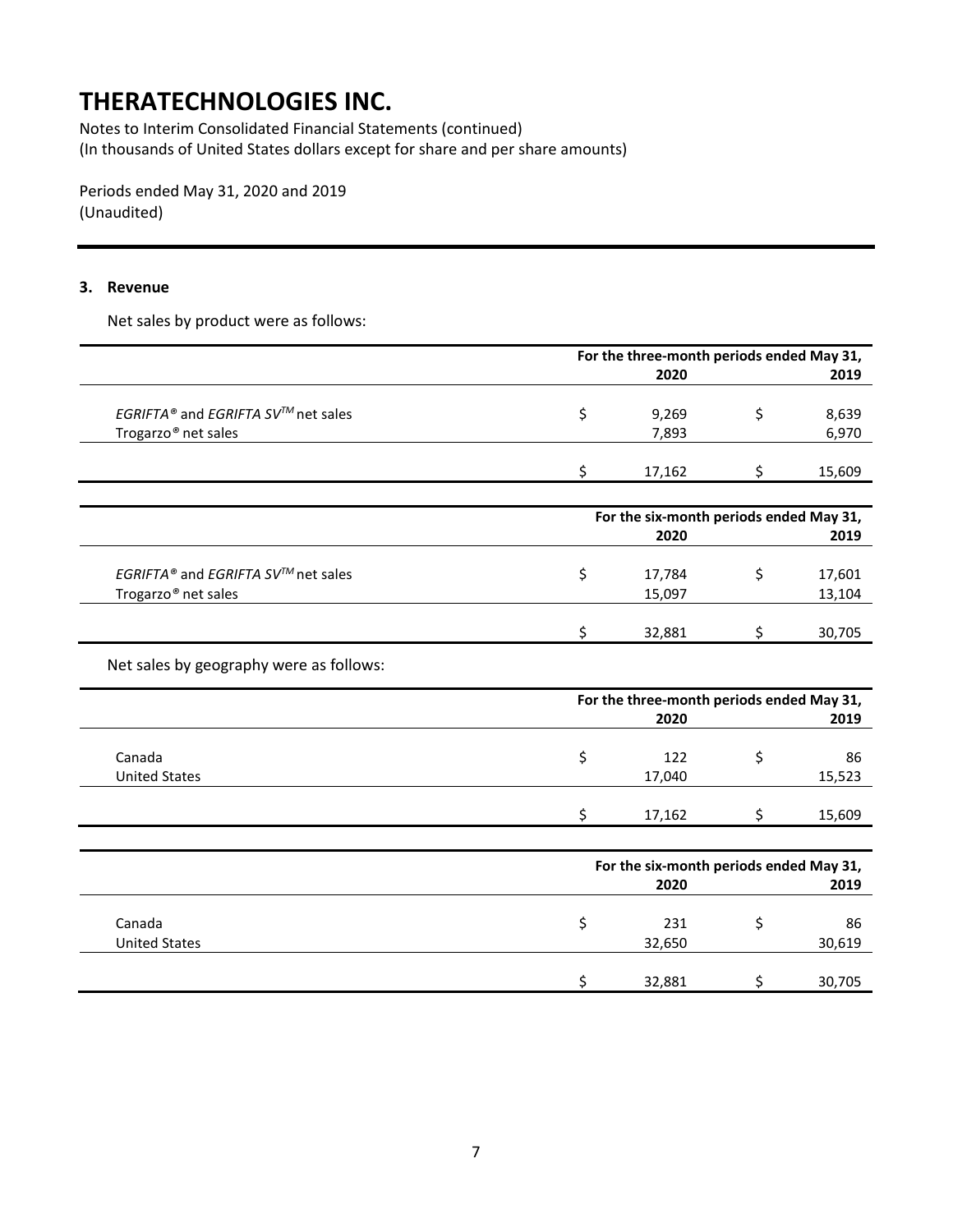Notes to Interim Consolidated Financial Statements (continued) (In thousands of United States dollars except for share and per share amounts)

Periods ended May 31, 2020 and 2019 (Unaudited)

#### **3. Revenue**

Net sales by product were as follows:

|                                                | For the three-month periods ended May 31, |        |
|------------------------------------------------|-------------------------------------------|--------|
|                                                | 2020                                      | 2019   |
|                                                |                                           |        |
| EGRIFTA® and EGRIFTA SV <sup>™</sup> net sales | 9,269                                     | 8,639  |
| Trogarzo <sup>®</sup> net sales                | 7,893                                     | 6,970  |
|                                                |                                           |        |
|                                                | 17,162                                    | 15.609 |

|                                                 | For the six-month periods ended May 31, |        |
|-------------------------------------------------|-----------------------------------------|--------|
|                                                 | 2020                                    | 2019   |
| EGRIFTA® and EGRIFTA SV <sup>TM</sup> net sales | 17,784                                  | 17,601 |
| Trogarzo <sup>®</sup> net sales                 | 15,097                                  | 13,104 |
|                                                 | 32,881                                  | 30,705 |

Net sales by geography were as follows:

|                      | For the three-month periods ended May 31, |        |
|----------------------|-------------------------------------------|--------|
|                      | 2020                                      | 2019   |
|                      |                                           |        |
| Canada               | 122                                       | 86     |
| <b>United States</b> | 17,040                                    | 15,523 |
|                      |                                           |        |
|                      | 17,162                                    | 15,609 |

|                      | For the six-month periods ended May 31, |  |        |  |  |
|----------------------|-----------------------------------------|--|--------|--|--|
|                      | 2020                                    |  | 2019   |  |  |
| Canada               | 231                                     |  | 86     |  |  |
| <b>United States</b> | 32,650                                  |  | 30,619 |  |  |
|                      | 32,881                                  |  | 30,705 |  |  |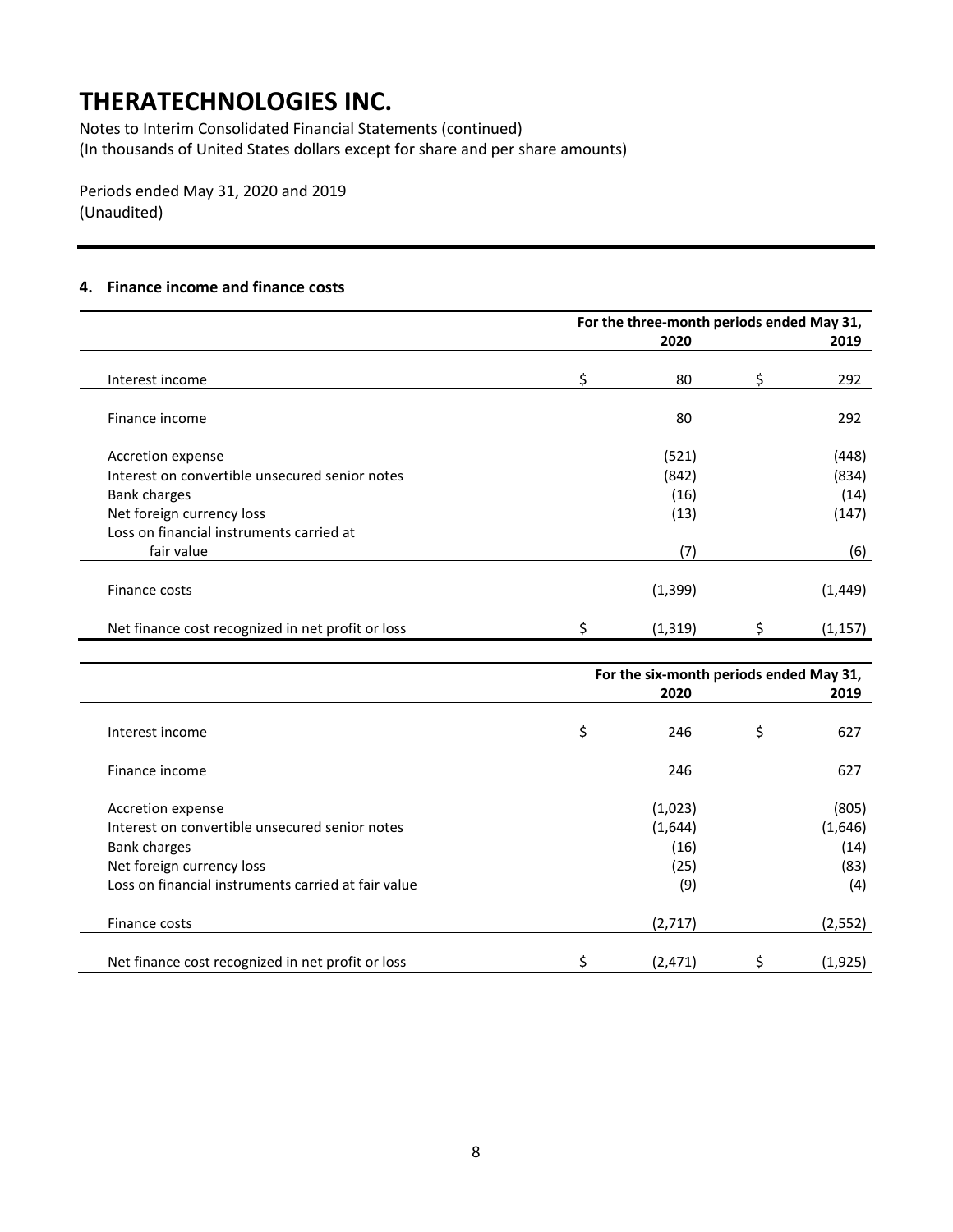Notes to Interim Consolidated Financial Statements (continued) (In thousands of United States dollars except for share and per share amounts)

Periods ended May 31, 2020 and 2019 (Unaudited)

### **4. Finance income and finance costs**

|                                                   |    | For the three-month periods ended May 31,<br>2020 | 2019     |
|---------------------------------------------------|----|---------------------------------------------------|----------|
| Interest income                                   | Ŝ. | 80                                                | 292      |
| Finance income                                    |    | 80                                                | 292      |
| Accretion expense                                 |    | (521)                                             | (448)    |
| Interest on convertible unsecured senior notes    |    | (842)                                             | (834)    |
| <b>Bank charges</b>                               |    | (16)                                              | (14)     |
| Net foreign currency loss                         |    | (13)                                              | (147)    |
| Loss on financial instruments carried at          |    |                                                   |          |
| fair value                                        |    | (7)                                               | (6)      |
|                                                   |    |                                                   |          |
| Finance costs                                     |    | (1, 399)                                          | (1, 449) |
| Net finance cost recognized in net profit or loss |    | (1, 319)                                          | (1, 157) |

|                                                     |   | For the six-month periods ended May 31, |   |          |
|-----------------------------------------------------|---|-----------------------------------------|---|----------|
|                                                     |   | 2020                                    |   | 2019     |
| Interest income                                     | Ś | 246                                     | Ś | 627      |
| Finance income                                      |   | 246                                     |   | 627      |
| Accretion expense                                   |   | (1,023)                                 |   | (805)    |
| Interest on convertible unsecured senior notes      |   | (1,644)                                 |   | (1,646)  |
| <b>Bank charges</b>                                 |   | (16)                                    |   | (14)     |
| Net foreign currency loss                           |   | (25)                                    |   | (83)     |
| Loss on financial instruments carried at fair value |   | (9)                                     |   | (4)      |
| Finance costs                                       |   | (2,717)                                 |   | (2, 552) |
| Net finance cost recognized in net profit or loss   |   | (2, 471)                                |   | (1, 925) |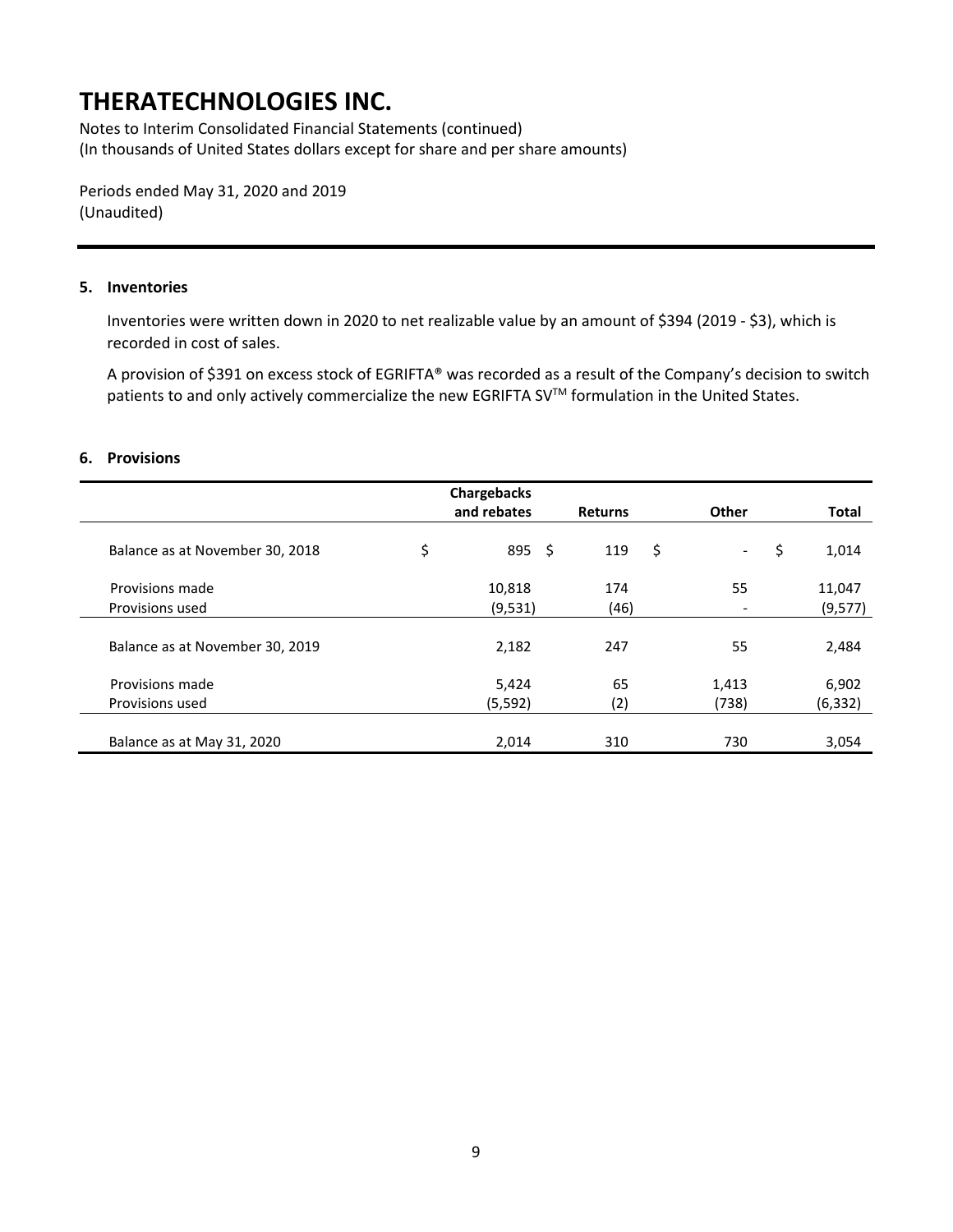Notes to Interim Consolidated Financial Statements (continued) (In thousands of United States dollars except for share and per share amounts)

Periods ended May 31, 2020 and 2019 (Unaudited)

#### **5. Inventories**

Inventories were written down in 2020 to net realizable value by an amount of \$394 (2019 - \$3), which is recorded in cost of sales.

A provision of \$391 on excess stock of EGRIFTA® was recorded as a result of the Company's decision to switch patients to and only actively commercialize the new EGRIFTA SV™ formulation in the United States.

#### **6. Provisions**

|                                 | Chargebacks<br>and rebates | <b>Returns</b> | <b>Other</b> | <b>Total</b> |
|---------------------------------|----------------------------|----------------|--------------|--------------|
|                                 |                            |                |              |              |
| Balance as at November 30, 2018 | \$<br>$895 \;$ \$          | 119            | \$<br>$\sim$ | \$<br>1,014  |
| Provisions made                 | 10,818                     | 174            | 55           | 11,047       |
| Provisions used                 | (9,531)                    | (46)           |              | (9, 577)     |
| Balance as at November 30, 2019 | 2,182                      | 247            | 55           | 2,484        |
| Provisions made                 | 5,424                      | 65             | 1,413        | 6,902        |
| Provisions used                 | (5, 592)                   | (2)            | (738)        | (6, 332)     |
|                                 |                            |                |              |              |
| Balance as at May 31, 2020      | 2,014                      | 310            | 730          | 3,054        |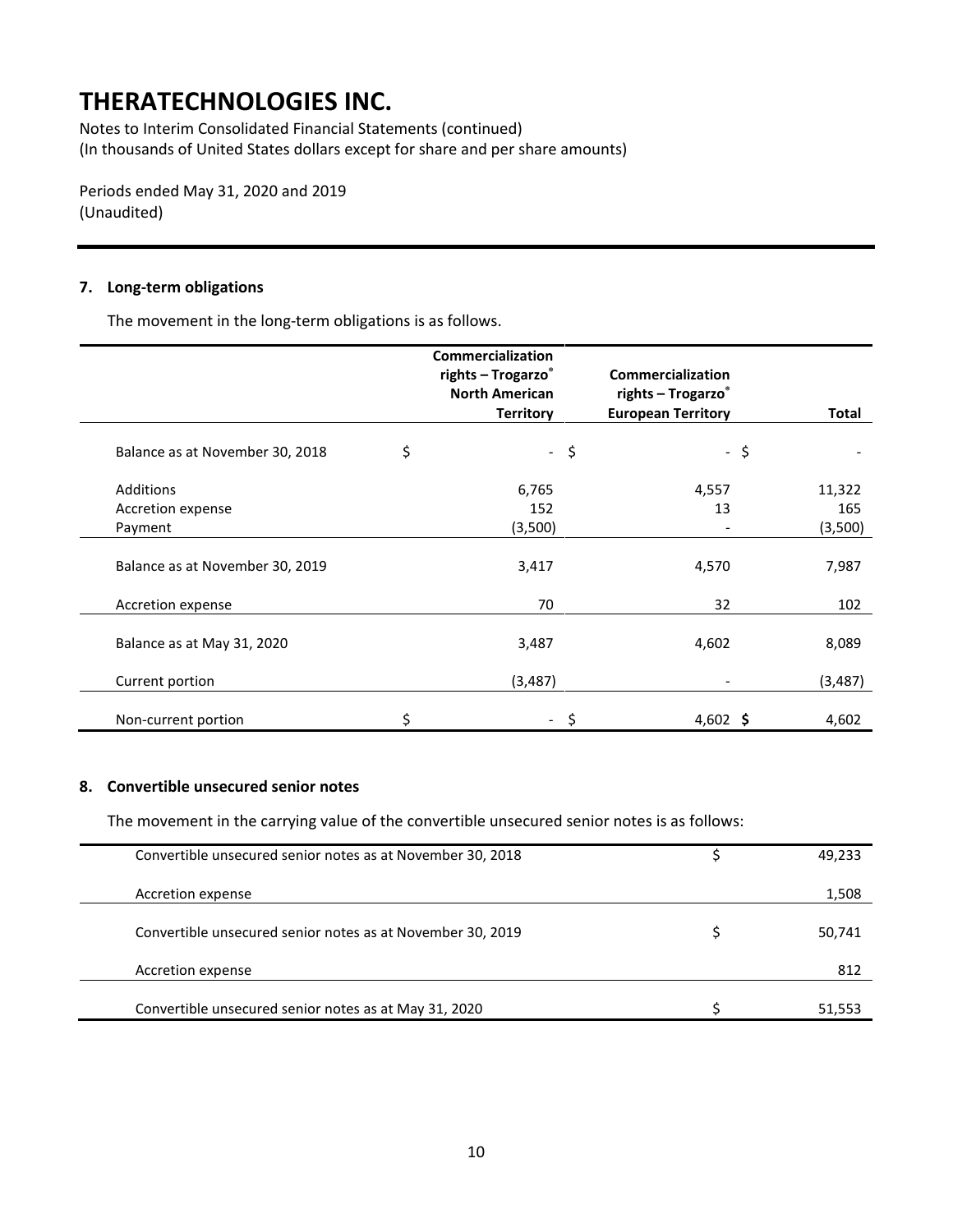Notes to Interim Consolidated Financial Statements (continued) (In thousands of United States dollars except for share and per share amounts)

Periods ended May 31, 2020 and 2019 (Unaudited)

#### **7. Long-term obligations**

The movement in the long-term obligations is as follows.

|                                 |    | Commercialization<br>rights - Trogarzo® |        | <b>Commercialization</b>  |              |
|---------------------------------|----|-----------------------------------------|--------|---------------------------|--------------|
|                                 |    | <b>North American</b>                   |        | rights - Trogarzo®        |              |
|                                 |    | <b>Territory</b>                        |        | <b>European Territory</b> | <b>Total</b> |
| Balance as at November 30, 2018 | \$ |                                         | $-$ \$ | - \$                      |              |
| Additions                       |    | 6,765                                   |        | 4,557                     | 11,322       |
| Accretion expense               |    | 152                                     |        | 13                        | 165          |
| Payment                         |    | (3,500)                                 |        |                           | (3,500)      |
| Balance as at November 30, 2019 |    | 3,417                                   |        | 4,570                     | 7,987        |
| Accretion expense               |    | 70                                      |        | 32                        | 102          |
| Balance as at May 31, 2020      |    | 3,487                                   |        | 4,602                     | 8,089        |
| Current portion                 |    | (3, 487)                                |        |                           | (3, 487)     |
| Non-current portion             | Ś  |                                         | S      | 4,602 \$                  | 4,602        |

#### **8. Convertible unsecured senior notes**

The movement in the carrying value of the convertible unsecured senior notes is as follows:

| Convertible unsecured senior notes as at November 30, 2018 | 49,233 |
|------------------------------------------------------------|--------|
| Accretion expense                                          | 1,508  |
| Convertible unsecured senior notes as at November 30, 2019 | 50,741 |
| Accretion expense                                          | 812    |
| Convertible unsecured senior notes as at May 31, 2020      | 51,553 |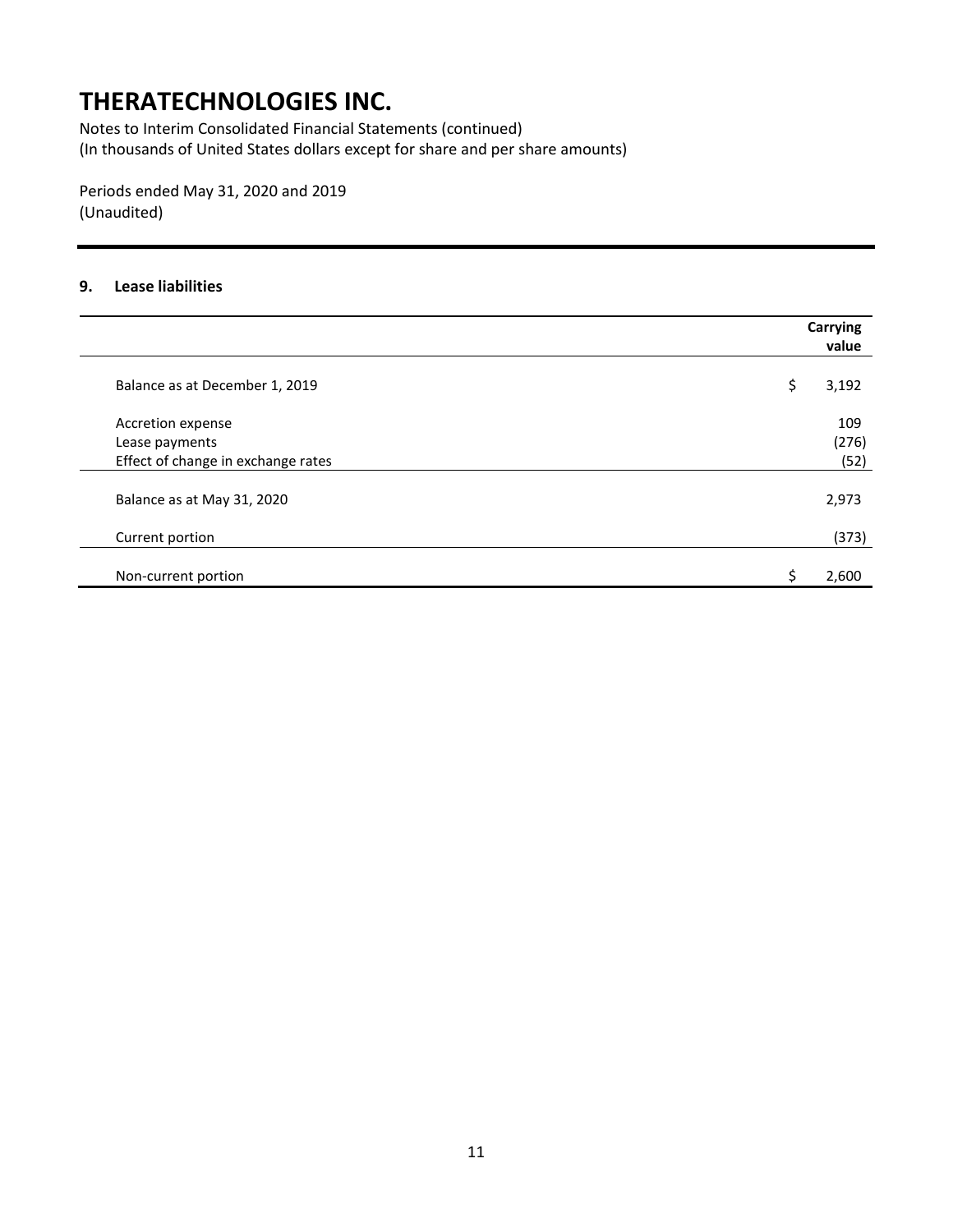Notes to Interim Consolidated Financial Statements (continued) (In thousands of United States dollars except for share and per share amounts)

Periods ended May 31, 2020 and 2019 (Unaudited)

### **9. Lease liabilities**

|                                    | <b>Carrying</b><br>value |
|------------------------------------|--------------------------|
| Balance as at December 1, 2019     | \$<br>3,192              |
| Accretion expense                  | 109                      |
| Lease payments                     | (276)                    |
| Effect of change in exchange rates | (52)                     |
| Balance as at May 31, 2020         | 2,973                    |
| Current portion                    | (373)                    |
| Non-current portion                | 2,600                    |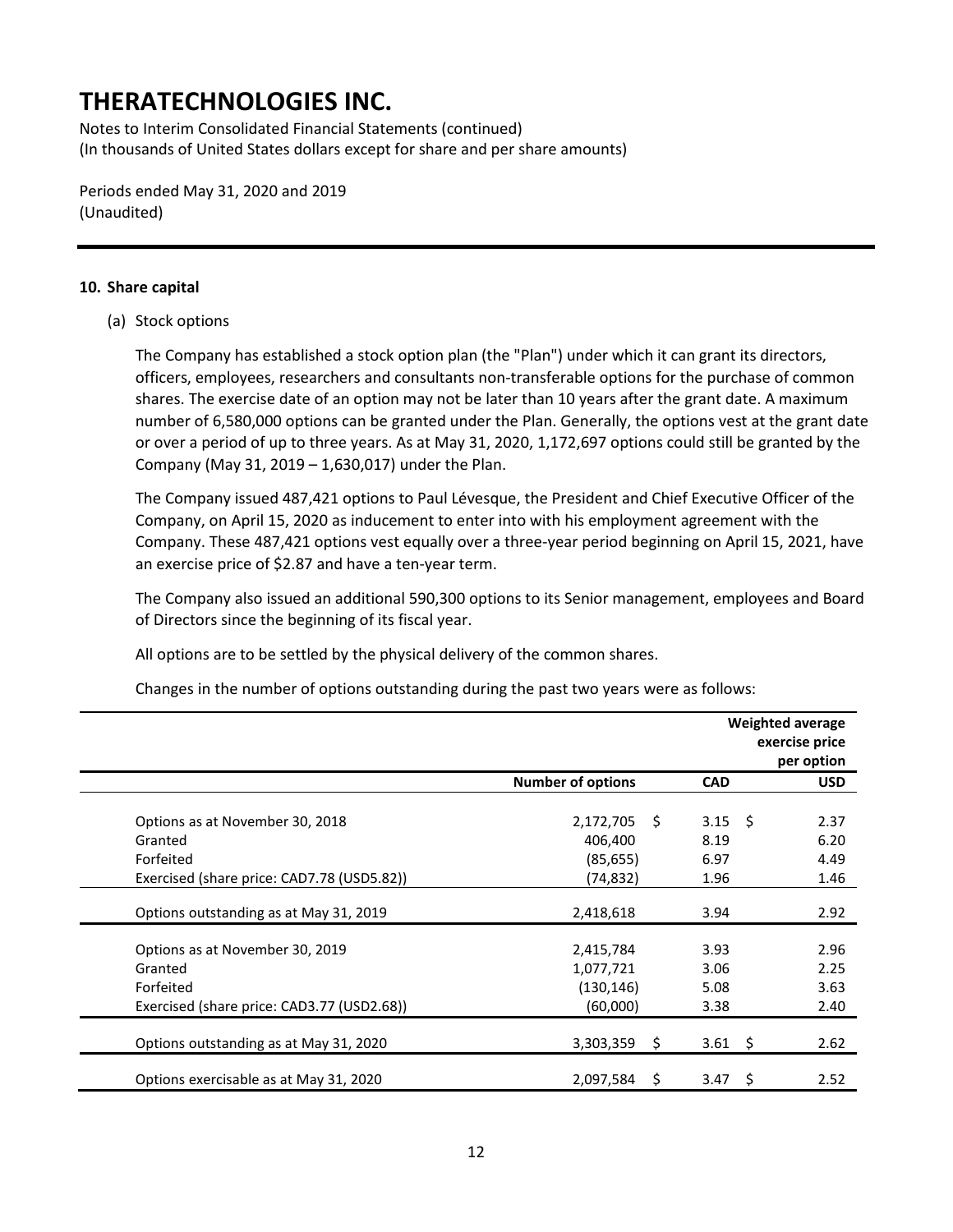Notes to Interim Consolidated Financial Statements (continued) (In thousands of United States dollars except for share and per share amounts)

Periods ended May 31, 2020 and 2019 (Unaudited)

#### **10. Share capital**

(a) Stock options

The Company has established a stock option plan (the "Plan") under which it can grant its directors, officers, employees, researchers and consultants non-transferable options for the purchase of common shares. The exercise date of an option may not be later than 10 years after the grant date. A maximum number of 6,580,000 options can be granted under the Plan. Generally, the options vest at the grant date or over a period of up to three years. As at May 31, 2020, 1,172,697 options could still be granted by the Company (May 31, 2019 – 1,630,017) under the Plan.

The Company issued 487,421 options to Paul Lévesque, the President and Chief Executive Officer of the Company, on April 15, 2020 as inducement to enter into with his employment agreement with the Company. These 487,421 options vest equally over a three-year period beginning on April 15, 2021, have an exercise price of \$2.87 and have a ten-year term.

The Company also issued an additional 590,300 options to its Senior management, employees and Board of Directors since the beginning of its fiscal year.

All options are to be settled by the physical delivery of the common shares.

Changes in the number of options outstanding during the past two years were as follows:

|                                            |                          |                 | <b>Weighted average</b><br>exercise price<br>per option |
|--------------------------------------------|--------------------------|-----------------|---------------------------------------------------------|
|                                            | <b>Number of options</b> | <b>CAD</b>      | <b>USD</b>                                              |
|                                            |                          |                 |                                                         |
| Options as at November 30, 2018            | 2,172,705<br>- Ś         | $3.15 \quad$ \$ | 2.37                                                    |
| Granted                                    | 406,400                  | 8.19            | 6.20                                                    |
| Forfeited                                  | (85, 655)                | 6.97            | 4.49                                                    |
| Exercised (share price: CAD7.78 (USD5.82)) | (74, 832)                | 1.96            | 1.46                                                    |
| Options outstanding as at May 31, 2019     | 2,418,618                | 3.94            | 2.92                                                    |
|                                            |                          |                 |                                                         |
| Options as at November 30, 2019            | 2,415,784                | 3.93            | 2.96                                                    |
| Granted                                    | 1,077,721                | 3.06            | 2.25                                                    |
| Forfeited                                  | (130, 146)               | 5.08            | 3.63                                                    |
| Exercised (share price: CAD3.77 (USD2.68)) | (60,000)                 | 3.38            | 2.40                                                    |
|                                            |                          |                 |                                                         |
| Options outstanding as at May 31, 2020     | 3,303,359<br>\$          | $3.61 \quad$ \$ | 2.62                                                    |
| Options exercisable as at May 31, 2020     | 2,097,584<br>Ŝ.          | 3.47<br>Ŝ.      | 2.52                                                    |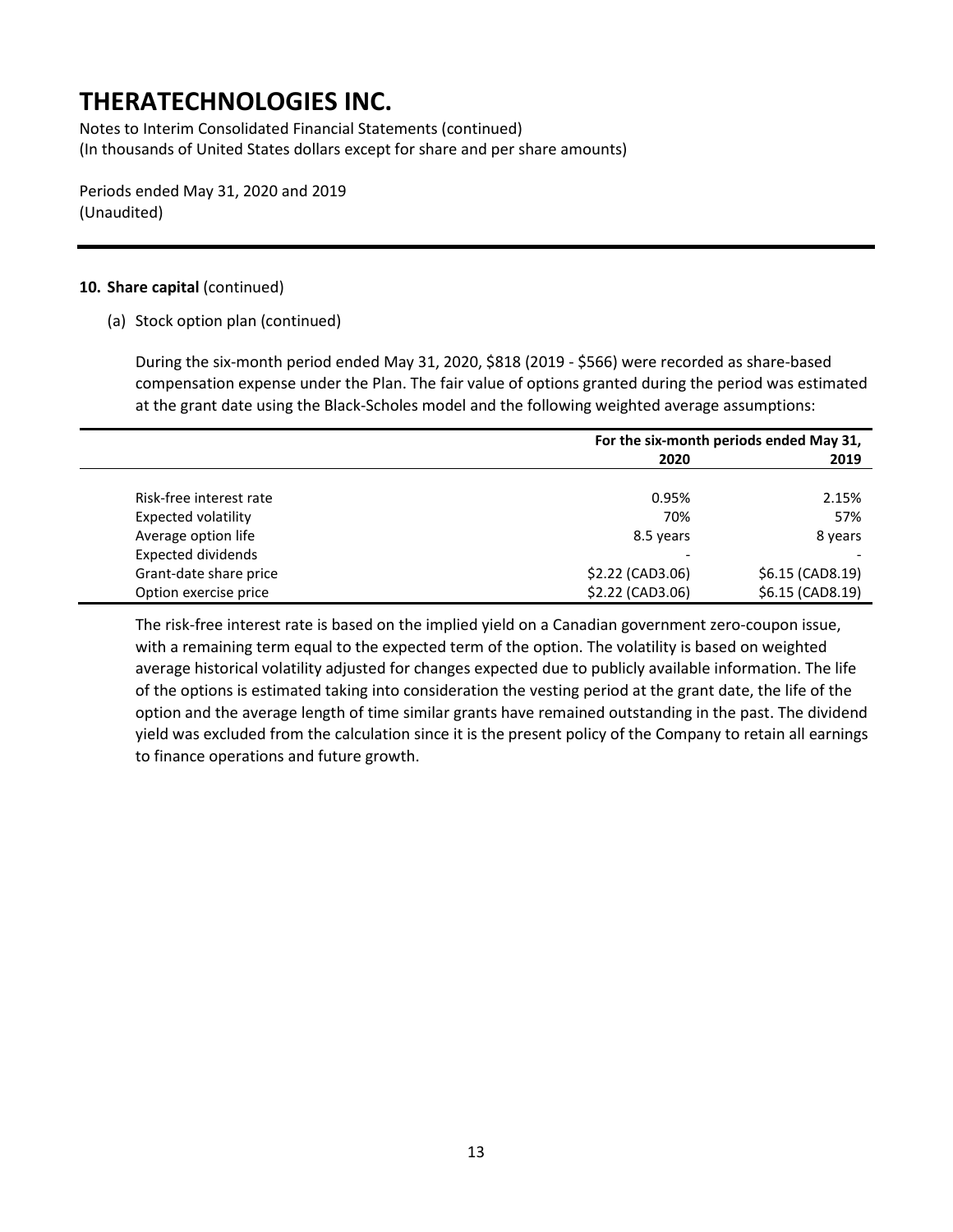Notes to Interim Consolidated Financial Statements (continued) (In thousands of United States dollars except for share and per share amounts)

Periods ended May 31, 2020 and 2019 (Unaudited)

#### **10. Share capital** (continued)

(a) Stock option plan (continued)

During the six-month period ended May 31, 2020, \$818 (2019 - \$566) were recorded as share-based compensation expense under the Plan. The fair value of options granted during the period was estimated at the grant date using the Black-Scholes model and the following weighted average assumptions:

|                           | For the six-month periods ended May 31, |                   |  |
|---------------------------|-----------------------------------------|-------------------|--|
|                           | 2020                                    | 2019              |  |
|                           |                                         |                   |  |
| Risk-free interest rate   | 0.95%                                   | 2.15%             |  |
| Expected volatility       | 70%                                     | 57%               |  |
| Average option life       | 8.5 years                               | 8 years           |  |
| <b>Expected dividends</b> | $\overline{\phantom{a}}$                |                   |  |
| Grant-date share price    | \$2.22 (CAD3.06)                        | $$6.15$ (CAD8.19) |  |
| Option exercise price     | \$2.22 (CAD3.06)                        | \$6.15 (CAD8.19)  |  |

The risk-free interest rate is based on the implied yield on a Canadian government zero-coupon issue, with a remaining term equal to the expected term of the option. The volatility is based on weighted average historical volatility adjusted for changes expected due to publicly available information. The life of the options is estimated taking into consideration the vesting period at the grant date, the life of the option and the average length of time similar grants have remained outstanding in the past. The dividend yield was excluded from the calculation since it is the present policy of the Company to retain all earnings to finance operations and future growth.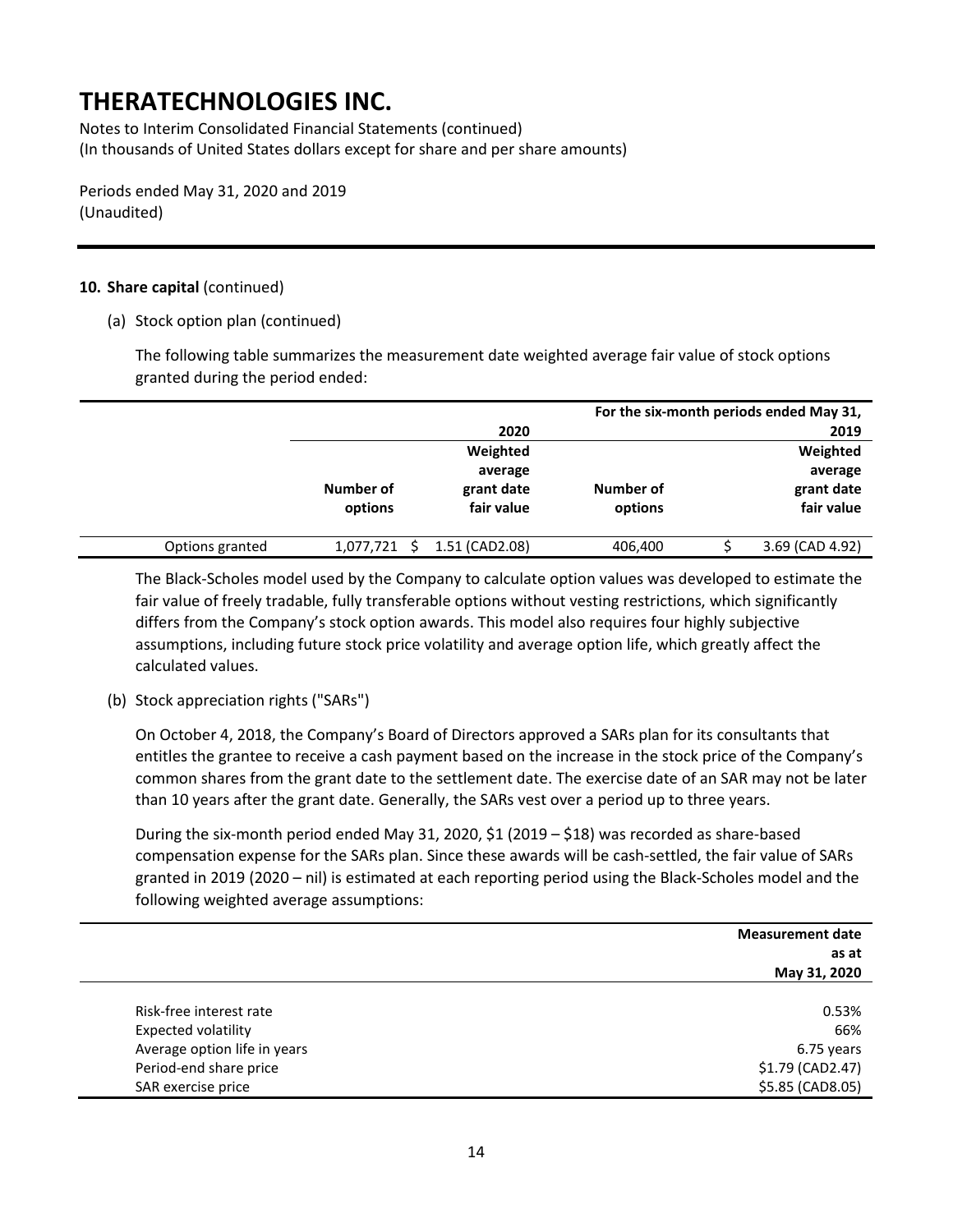Notes to Interim Consolidated Financial Statements (continued) (In thousands of United States dollars except for share and per share amounts)

Periods ended May 31, 2020 and 2019 (Unaudited)

### **10. Share capital** (continued)

(a) Stock option plan (continued)

The following table summarizes the measurement date weighted average fair value of stock options granted during the period ended:

|                 |           |                |           | For the six-month periods ended May 31, |
|-----------------|-----------|----------------|-----------|-----------------------------------------|
|                 |           | 2020           |           | 2019                                    |
|                 |           | Weighted       |           | Weighted                                |
|                 |           | average        |           | average                                 |
|                 | Number of | grant date     | Number of | grant date                              |
|                 | options   | fair value     | options   | fair value                              |
|                 |           |                |           |                                         |
| Options granted | 1,077,721 | 1.51 (CAD2.08) | 406,400   | 3.69 (CAD 4.92)                         |

The Black-Scholes model used by the Company to calculate option values was developed to estimate the fair value of freely tradable, fully transferable options without vesting restrictions, which significantly differs from the Company's stock option awards. This model also requires four highly subjective assumptions, including future stock price volatility and average option life, which greatly affect the calculated values.

(b) Stock appreciation rights ("SARs")

On October 4, 2018, the Company's Board of Directors approved a SARs plan for its consultants that entitles the grantee to receive a cash payment based on the increase in the stock price of the Company's common shares from the grant date to the settlement date. The exercise date of an SAR may not be later than 10 years after the grant date. Generally, the SARs vest over a period up to three years.

During the six-month period ended May 31, 2020, \$1 (2019 – \$18) was recorded as share-based compensation expense for the SARs plan. Since these awards will be cash-settled, the fair value of SARs granted in 2019 (2020 – nil) is estimated at each reporting period using the Black-Scholes model and the following weighted average assumptions:

|                              | <b>Measurement date</b> |
|------------------------------|-------------------------|
|                              | as at                   |
|                              | May 31, 2020            |
|                              |                         |
| Risk-free interest rate      | 0.53%                   |
| Expected volatility          | 66%                     |
| Average option life in years | 6.75 years              |
| Period-end share price       | \$1.79 (CAD2.47)        |
| SAR exercise price           | \$5.85 (CAD8.05)        |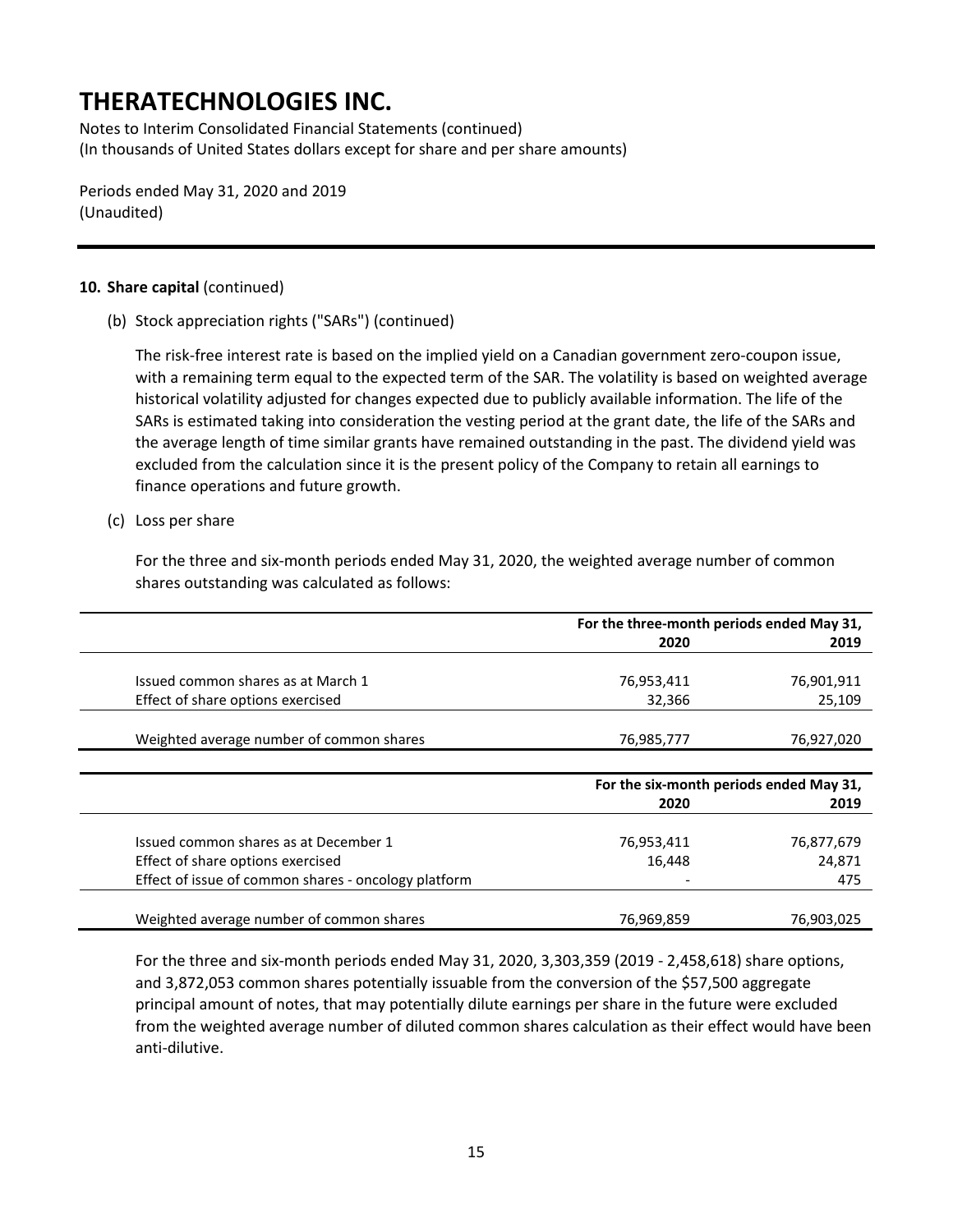Notes to Interim Consolidated Financial Statements (continued) (In thousands of United States dollars except for share and per share amounts)

Periods ended May 31, 2020 and 2019 (Unaudited)

#### **10. Share capital** (continued)

(b) Stock appreciation rights ("SARs") (continued)

The risk-free interest rate is based on the implied yield on a Canadian government zero-coupon issue, with a remaining term equal to the expected term of the SAR. The volatility is based on weighted average historical volatility adjusted for changes expected due to publicly available information. The life of the SARs is estimated taking into consideration the vesting period at the grant date, the life of the SARs and the average length of time similar grants have remained outstanding in the past. The dividend yield was excluded from the calculation since it is the present policy of the Company to retain all earnings to finance operations and future growth.

#### (c) Loss per share

For the three and six-month periods ended May 31, 2020, the weighted average number of common shares outstanding was calculated as follows:

|                                                      | For the three-month periods ended May 31, |            |  |
|------------------------------------------------------|-------------------------------------------|------------|--|
|                                                      | 2020                                      | 2019       |  |
|                                                      |                                           |            |  |
| Issued common shares as at March 1                   | 76,953,411                                | 76,901,911 |  |
| Effect of share options exercised                    | 32,366                                    | 25,109     |  |
|                                                      |                                           |            |  |
| Weighted average number of common shares             | 76,985,777                                | 76,927,020 |  |
|                                                      |                                           |            |  |
|                                                      | For the six-month periods ended May 31,   |            |  |
|                                                      | 2020                                      | 2019       |  |
|                                                      |                                           |            |  |
| Issued common shares as at December 1                | 76,953,411                                | 76,877,679 |  |
| Effect of share options exercised                    | 16,448                                    | 24,871     |  |
| Effect of issue of common shares - oncology platform |                                           | 475        |  |
|                                                      |                                           |            |  |
| Weighted average number of common shares             | 76,969,859                                | 76,903,025 |  |

For the three and six-month periods ended May 31, 2020, 3,303,359 (2019 - 2,458,618) share options, and 3,872,053 common shares potentially issuable from the conversion of the \$57,500 aggregate principal amount of notes, that may potentially dilute earnings per share in the future were excluded from the weighted average number of diluted common shares calculation as their effect would have been anti-dilutive.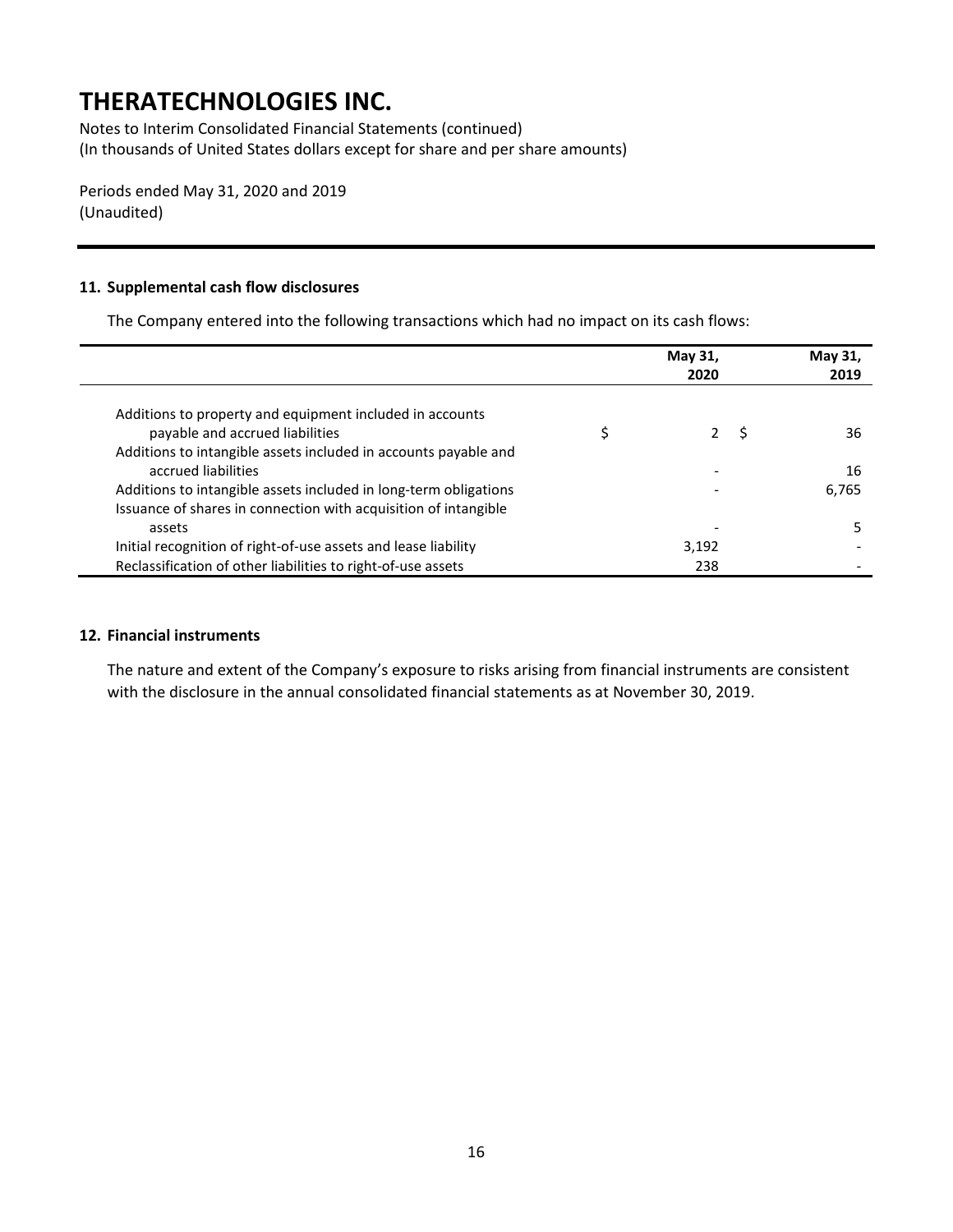Notes to Interim Consolidated Financial Statements (continued) (In thousands of United States dollars except for share and per share amounts)

Periods ended May 31, 2020 and 2019 (Unaudited)

#### **11. Supplemental cash flow disclosures**

The Company entered into the following transactions which had no impact on its cash flows:

|                                                                  | May 31,<br>2020 |     | May 31,<br>2019 |
|------------------------------------------------------------------|-----------------|-----|-----------------|
| Additions to property and equipment included in accounts         |                 |     |                 |
| payable and accrued liabilities                                  | $\mathcal{P}$   | - S | 36              |
| Additions to intangible assets included in accounts payable and  |                 |     |                 |
| accrued liabilities                                              |                 |     | 16              |
| Additions to intangible assets included in long-term obligations |                 |     | 6,765           |
| Issuance of shares in connection with acquisition of intangible  |                 |     |                 |
| assets                                                           | -               |     | .5.             |
| Initial recognition of right-of-use assets and lease liability   | 3,192           |     |                 |
| Reclassification of other liabilities to right-of-use assets     | 238             |     |                 |

#### **12. Financial instruments**

The nature and extent of the Company's exposure to risks arising from financial instruments are consistent with the disclosure in the annual consolidated financial statements as at November 30, 2019.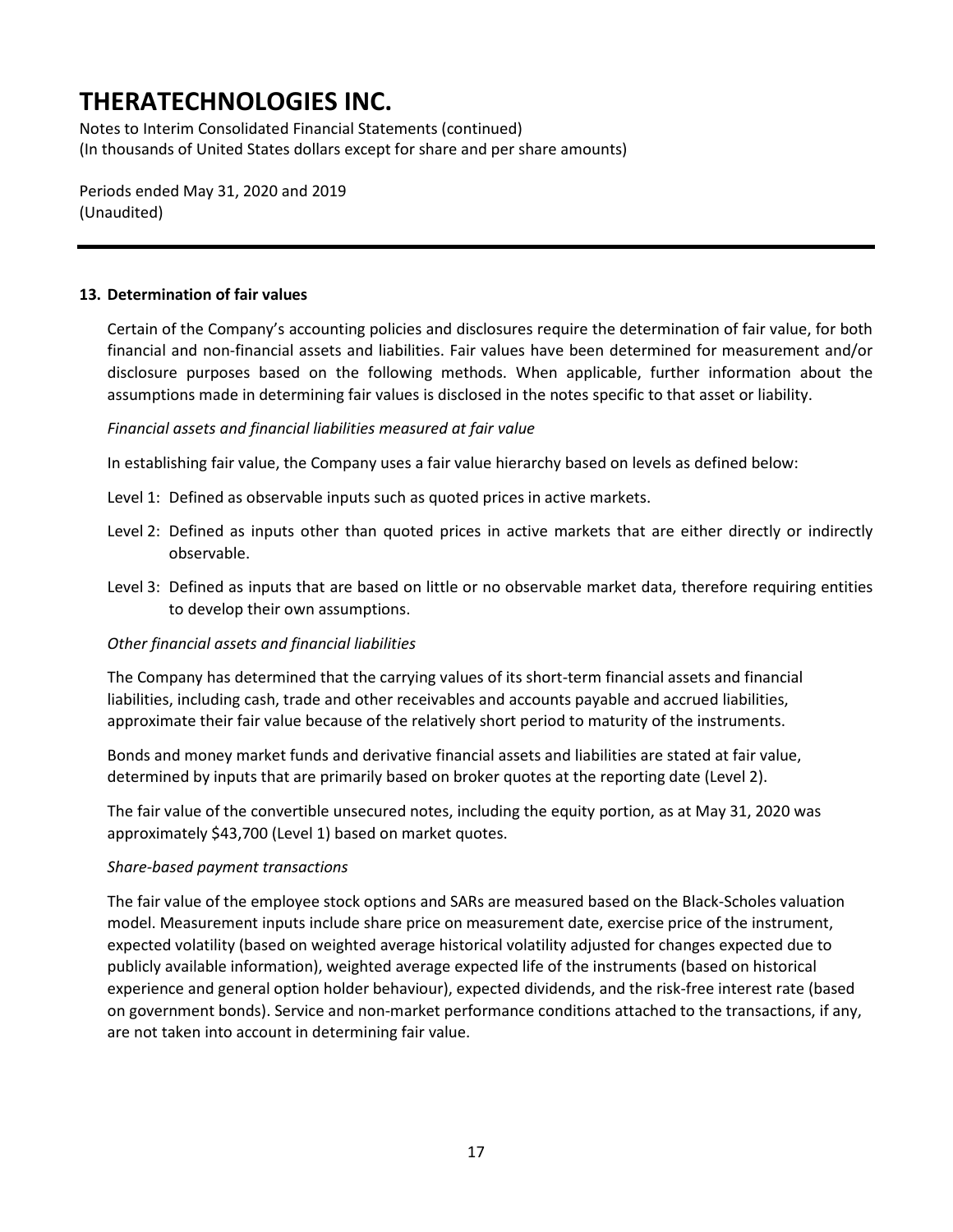Notes to Interim Consolidated Financial Statements (continued) (In thousands of United States dollars except for share and per share amounts)

Periods ended May 31, 2020 and 2019 (Unaudited)

### **13. Determination of fair values**

Certain of the Company's accounting policies and disclosures require the determination of fair value, for both financial and non-financial assets and liabilities. Fair values have been determined for measurement and/or disclosure purposes based on the following methods. When applicable, further information about the assumptions made in determining fair values is disclosed in the notes specific to that asset or liability.

### *Financial assets and financial liabilities measured at fair value*

In establishing fair value, the Company uses a fair value hierarchy based on levels as defined below:

- Level 1: Defined as observable inputs such as quoted prices in active markets.
- Level 2: Defined as inputs other than quoted prices in active markets that are either directly or indirectly observable.
- Level 3: Defined as inputs that are based on little or no observable market data, therefore requiring entities to develop their own assumptions.

### *Other financial assets and financial liabilities*

The Company has determined that the carrying values of its short-term financial assets and financial liabilities, including cash, trade and other receivables and accounts payable and accrued liabilities, approximate their fair value because of the relatively short period to maturity of the instruments.

Bonds and money market funds and derivative financial assets and liabilities are stated at fair value, determined by inputs that are primarily based on broker quotes at the reporting date (Level 2).

The fair value of the convertible unsecured notes, including the equity portion, as at May 31, 2020 was approximately \$43,700 (Level 1) based on market quotes.

### *Share-based payment transactions*

The fair value of the employee stock options and SARs are measured based on the Black-Scholes valuation model. Measurement inputs include share price on measurement date, exercise price of the instrument, expected volatility (based on weighted average historical volatility adjusted for changes expected due to publicly available information), weighted average expected life of the instruments (based on historical experience and general option holder behaviour), expected dividends, and the risk-free interest rate (based on government bonds). Service and non-market performance conditions attached to the transactions, if any, are not taken into account in determining fair value.